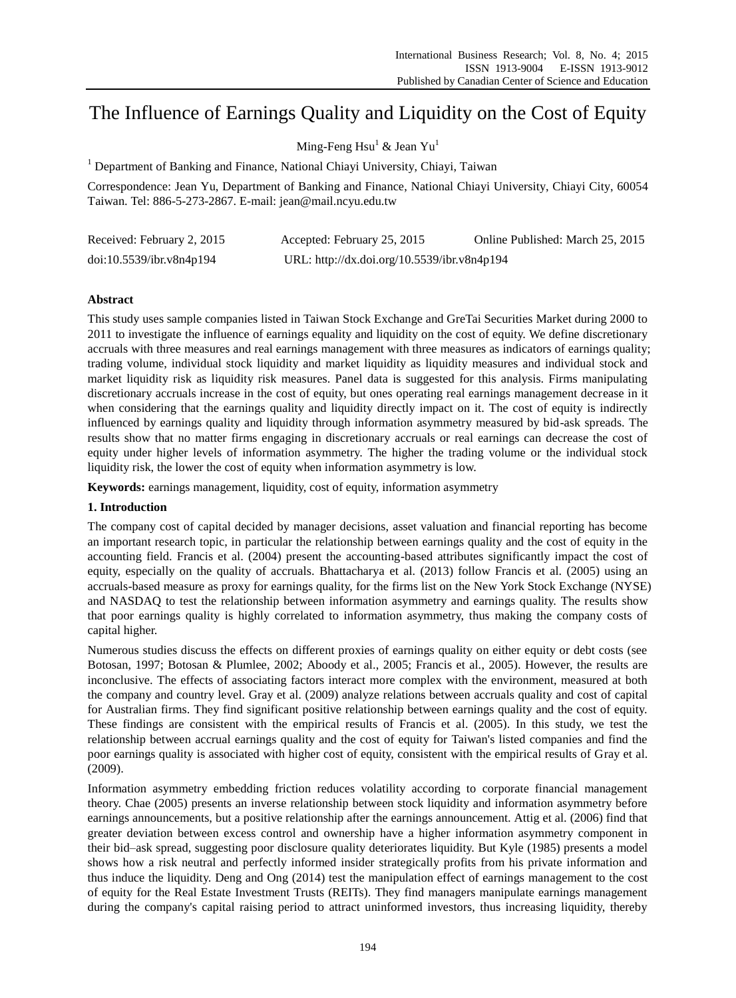# The Influence of Earnings Quality and Liquidity on the Cost of Equity

Ming-Feng Hsu<sup>1</sup> & Jean Yu<sup>1</sup>

<sup>1</sup> Department of Banking and Finance, National Chiayi University, Chiayi, Taiwan

Correspondence: Jean Yu, Department of Banking and Finance, National Chiayi University, Chiayi City, 60054 Taiwan. Tel: 886-5-273-2867. E-mail: jean@mail.ncyu.edu.tw

| Received: February 2, 2015 | Accepted: February 25, 2015                 | Online Published: March 25, 2015 |
|----------------------------|---------------------------------------------|----------------------------------|
| doi:10.5539/ibr.v8n4p194   | URL: http://dx.doi.org/10.5539/ibr.v8n4p194 |                                  |

# **Abstract**

This study uses sample companies listed in Taiwan Stock Exchange and GreTai Securities Market during 2000 to 2011 to investigate the influence of earnings equality and liquidity on the cost of equity. We define discretionary accruals with three measures and real earnings management with three measures as indicators of earnings quality; trading volume, individual stock liquidity and market liquidity as liquidity measures and individual stock and market liquidity risk as liquidity risk measures. Panel data is suggested for this analysis. Firms manipulating discretionary accruals increase in the cost of equity, but ones operating real earnings management decrease in it when considering that the earnings quality and liquidity directly impact on it. The cost of equity is indirectly influenced by earnings quality and liquidity through information asymmetry measured by bid-ask spreads. The results show that no matter firms engaging in discretionary accruals or real earnings can decrease the cost of equity under higher levels of information asymmetry. The higher the trading volume or the individual stock liquidity risk, the lower the cost of equity when information asymmetry is low.

**Keywords:** earnings management, liquidity, cost of equity, information asymmetry

# **1. Introduction**

The company cost of capital decided by manager decisions, asset valuation and financial reporting has become an important research topic, in particular the relationship between earnings quality and the cost of equity in the accounting field. Francis et al. (2004) present the accounting-based attributes significantly impact the cost of equity, especially on the quality of accruals. Bhattacharya et al. (2013) follow Francis et al. (2005) using an accruals-based measure as proxy for earnings quality, for the firms list on the New York Stock Exchange (NYSE) and NASDAQ to test the relationship between information asymmetry and earnings quality. The results show that poor earnings quality is highly correlated to information asymmetry, thus making the company costs of capital higher.

Numerous studies discuss the effects on different proxies of earnings quality on either equity or debt costs (see Botosan, 1997; Botosan & Plumlee, 2002; Aboody et al., 2005; Francis et al., 2005). However, the results are inconclusive. The effects of associating factors interact more complex with the environment, measured at both the company and country level. Gray et al. (2009) analyze relations between accruals quality and cost of capital for Australian firms. They find significant positive relationship between earnings quality and the cost of equity. These findings are consistent with the empirical results of Francis et al. (2005). In this study, we test the relationship between accrual earnings quality and the cost of equity for Taiwan's listed companies and find the poor earnings quality is associated with higher cost of equity, consistent with the empirical results of Gray et al. (2009).

Information asymmetry embedding friction reduces volatility according to corporate financial management theory. Chae (2005) presents an inverse relationship between stock liquidity and information asymmetry before earnings announcements, but a positive relationship after the earnings announcement. Attig et al. (2006) find that greater deviation between excess control and ownership have a higher information asymmetry component in their bid–ask spread, suggesting poor disclosure quality deteriorates liquidity. But Kyle (1985) presents a model shows how a risk neutral and perfectly informed insider strategically profits from his private information and thus induce the liquidity. Deng and Ong (2014) test the manipulation effect of earnings management to the cost of equity for the Real Estate Investment Trusts (REITs). They find managers manipulate earnings management during the company's capital raising period to attract uninformed investors, thus increasing liquidity, thereby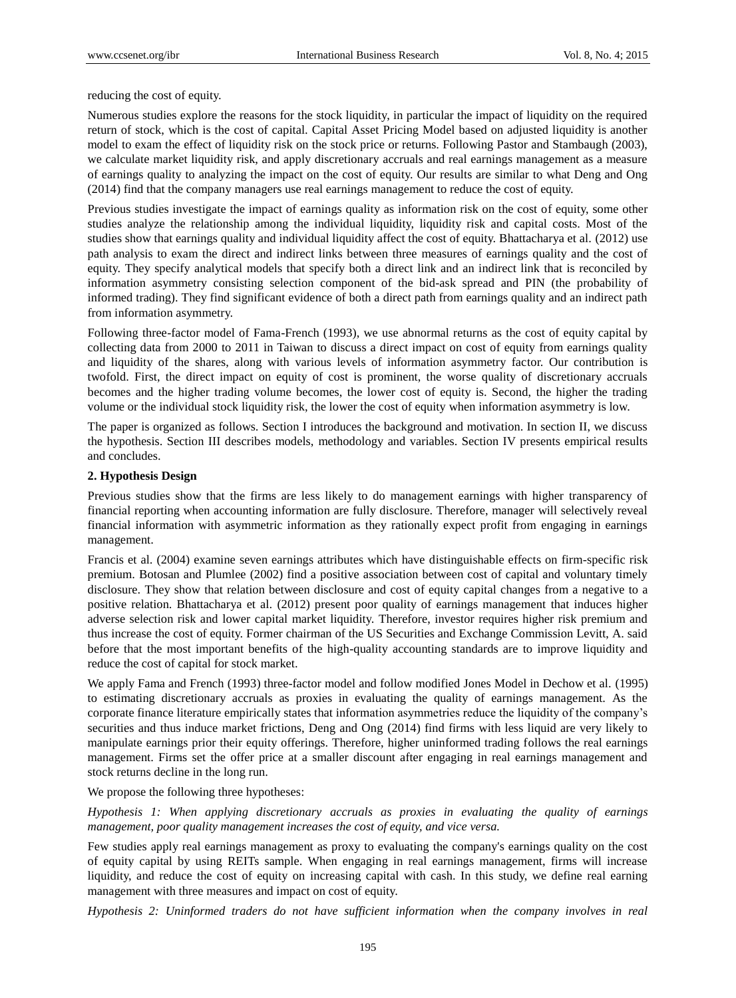reducing the cost of equity.

Numerous studies explore the reasons for the stock liquidity, in particular the impact of liquidity on the required return of stock, which is the cost of capital. Capital Asset Pricing Model based on adjusted liquidity is another model to exam the effect of liquidity risk on the stock price or returns. Following Pastor and Stambaugh (2003), we calculate market liquidity risk, and apply discretionary accruals and real earnings management as a measure of earnings quality to analyzing the impact on the cost of equity. Our results are similar to what Deng and Ong (2014) find that the company managers use real earnings management to reduce the cost of equity.

Previous studies investigate the impact of earnings quality as information risk on the cost of equity, some other studies analyze the relationship among the individual liquidity, liquidity risk and capital costs. Most of the studies show that earnings quality and individual liquidity affect the cost of equity. Bhattacharya et al. (2012) use path analysis to exam the direct and indirect links between three measures of earnings quality and the cost of equity. They specify analytical models that specify both a direct link and an indirect link that is reconciled by information asymmetry consisting selection component of the bid-ask spread and PIN (the probability of informed trading). They find significant evidence of both a direct path from earnings quality and an indirect path from information asymmetry.

Following three-factor model of Fama-French (1993), we use abnormal returns as the cost of equity capital by collecting data from 2000 to 2011 in Taiwan to discuss a direct impact on cost of equity from earnings quality and liquidity of the shares, along with various levels of information asymmetry factor. Our contribution is twofold. First, the direct impact on equity of cost is prominent, the worse quality of discretionary accruals becomes and the higher trading volume becomes, the lower cost of equity is. Second, the higher the trading volume or the individual stock liquidity risk, the lower the cost of equity when information asymmetry is low.

The paper is organized as follows. Section I introduces the background and motivation. In section II, we discuss the hypothesis. Section III describes models, methodology and variables. Section IV presents empirical results and concludes.

# **2. Hypothesis Design**

Previous studies show that the firms are less likely to do management earnings with higher transparency of financial reporting when accounting information are fully disclosure. Therefore, manager will selectively reveal financial information with asymmetric information as they rationally expect profit from engaging in earnings management.

Francis et al. (2004) examine seven earnings attributes which have distinguishable effects on firm-specific risk premium. Botosan and Plumlee (2002) find a positive association between cost of capital and voluntary timely disclosure. They show that relation between disclosure and cost of equity capital changes from a negative to a positive relation. Bhattacharya et al. (2012) present poor quality of earnings management that induces higher adverse selection risk and lower capital market liquidity. Therefore, investor requires higher risk premium and thus increase the cost of equity. Former chairman of the US Securities and Exchange Commission Levitt, A. said before that the most important benefits of the high-quality accounting standards are to improve liquidity and reduce the cost of capital for stock market.

We apply Fama and French (1993) three-factor model and follow modified Jones Model in Dechow et al. (1995) to estimating discretionary accruals as proxies in evaluating the quality of earnings management. As the corporate finance literature empirically states that information asymmetries reduce the liquidity of the company's securities and thus induce market frictions, Deng and Ong (2014) find firms with less liquid are very likely to manipulate earnings prior their equity offerings. Therefore, higher uninformed trading follows the real earnings management. Firms set the offer price at a smaller discount after engaging in real earnings management and stock returns decline in the long run.

We propose the following three hypotheses:

*Hypothesis 1: When applying discretionary accruals as proxies in evaluating the quality of earnings management, poor quality management increases the cost of equity, and vice versa.*

Few studies apply real earnings management as proxy to evaluating the company's earnings quality on the cost of equity capital by using REITs sample. When engaging in real earnings management, firms will increase liquidity, and reduce the cost of equity on increasing capital with cash. In this study, we define real earning management with three measures and impact on cost of equity.

*Hypothesis 2: Uninformed traders do not have sufficient information when the company involves in real*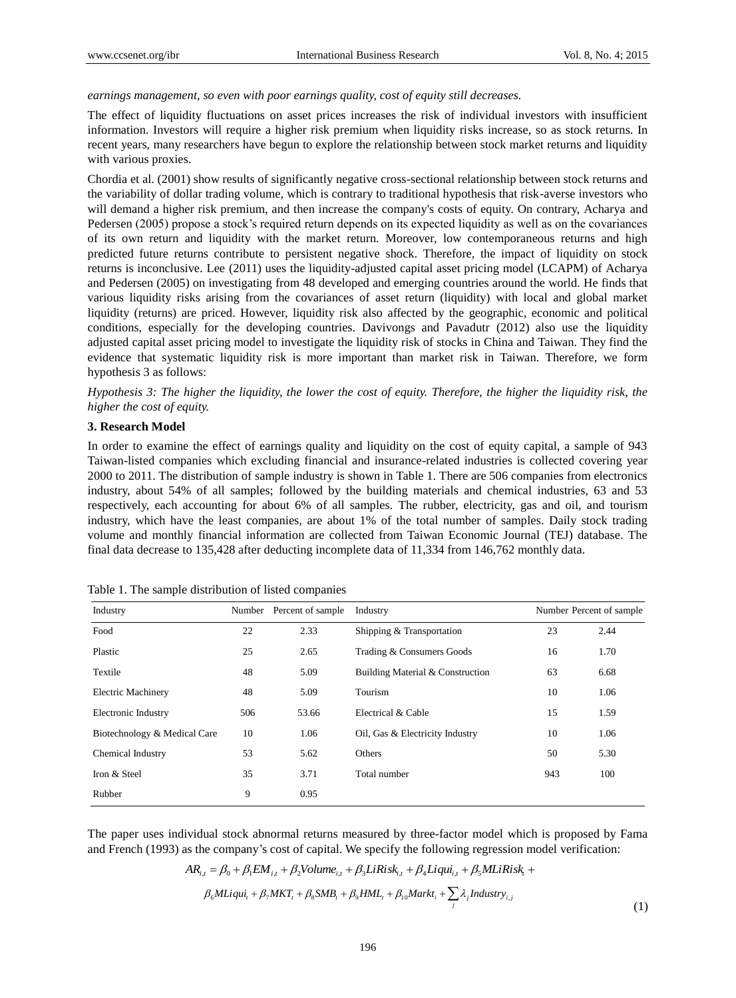## *earnings management, so even with poor earnings quality, cost of equity still decreases.*

The effect of liquidity fluctuations on asset prices increases the risk of individual investors with insufficient information. Investors will require a higher risk premium when liquidity risks increase, so as stock returns. In recent years, many researchers have begun to explore the relationship between stock market returns and liquidity with various proxies.

Chordia et al. (2001) show results of significantly negative cross-sectional relationship between stock returns and the variability of dollar trading volume, which is contrary to traditional hypothesis that risk-averse investors who will demand a higher risk premium, and then increase the company's costs of equity. On contrary, Acharya and Pedersen (2005) propose a stock's required return depends on its expected liquidity as well as on the covariances of its own return and liquidity with the market return. Moreover, low contemporaneous returns and high predicted future returns contribute to persistent negative shock. Therefore, the impact of liquidity on stock returns is inconclusive. Lee (2011) uses the liquidity-adjusted capital asset pricing model (LCAPM) of Acharya and Pedersen (2005) on investigating from 48 developed and emerging countries around the world. He finds that various liquidity risks arising from the covariances of asset return (liquidity) with local and global market liquidity (returns) are priced. However, liquidity risk also affected by the geographic, economic and political conditions, especially for the developing countries. Davivongs and Pavadutr (2012) also use the liquidity adjusted capital asset pricing model to investigate the liquidity risk of stocks in China and Taiwan. They find the evidence that systematic liquidity risk is more important than market risk in Taiwan. Therefore, we form hypothesis 3 as follows:

# *Hypothesis 3: The higher the liquidity, the lower the cost of equity. Therefore, the higher the liquidity risk, the higher the cost of equity.*

#### **3. Research Model**

In order to examine the effect of earnings quality and liquidity on the cost of equity capital, a sample of 943 Taiwan-listed companies which excluding financial and insurance-related industries is collected covering year 2000 to 2011. The distribution of sample industry is shown in Table 1. There are 506 companies from electronics industry, about 54% of all samples; followed by the building materials and chemical industries, 63 and 53 respectively, each accounting for about 6% of all samples. The rubber, electricity, gas and oil, and tourism industry, which have the least companies, are about 1% of the total number of samples. Daily stock trading volume and monthly financial information are collected from Taiwan Economic Journal (TEJ) database. The final data decrease to 135,428 after deducting incomplete data of 11,334 from 146,762 monthly data.

| Industry                     | Number | Percent of sample | Industry                         |     | Number Percent of sample |
|------------------------------|--------|-------------------|----------------------------------|-----|--------------------------|
| Food                         | 22     | 2.33              | Shipping & Transportation        | 23  | 2.44                     |
| Plastic                      | 25     | 2.65              | Trading & Consumers Goods        | 16  | 1.70                     |
| Textile                      | 48     | 5.09              | Building Material & Construction | 63  | 6.68                     |
| <b>Electric Machinery</b>    | 48     | 5.09              | Tourism                          | 10  | 1.06                     |
| Electronic Industry          | 506    | 53.66             | Electrical & Cable               | 15  | 1.59                     |
| Biotechnology & Medical Care | 10     | 1.06              | Oil, Gas & Electricity Industry  | 10  | 1.06                     |
| Chemical Industry            | 53     | 5.62              | Others                           | 50  | 5.30                     |
| Iron & Steel                 | 35     | 3.71              | Total number                     | 943 | 100                      |
| Rubber                       | 9      | 0.95              |                                  |     |                          |

| Table 1. The sample distribution of listed companies |  |
|------------------------------------------------------|--|
|------------------------------------------------------|--|

The paper uses individual stock abnormal returns measured by three-factor model which is proposed by Fama and French (1993) as the company's cost of capital. We specify the following regression model verification:

$$
AR_{i,t} = \beta_0 + \beta_1 EM_{i,t} + \beta_2 Volume_{i,t} + \beta_3 Linkisk_{i,t} + \beta_4 Lightqui_{i,t} + \beta_5 MLiRisk_t +
$$
  

$$
\beta_6 MLiqui_t + \beta_7 MKT_t + \beta_8 SMB_t + \beta_9 HML_t + \beta_{10} Markt_i + \sum_j \lambda_j Indextry_{i,j}
$$
 (1)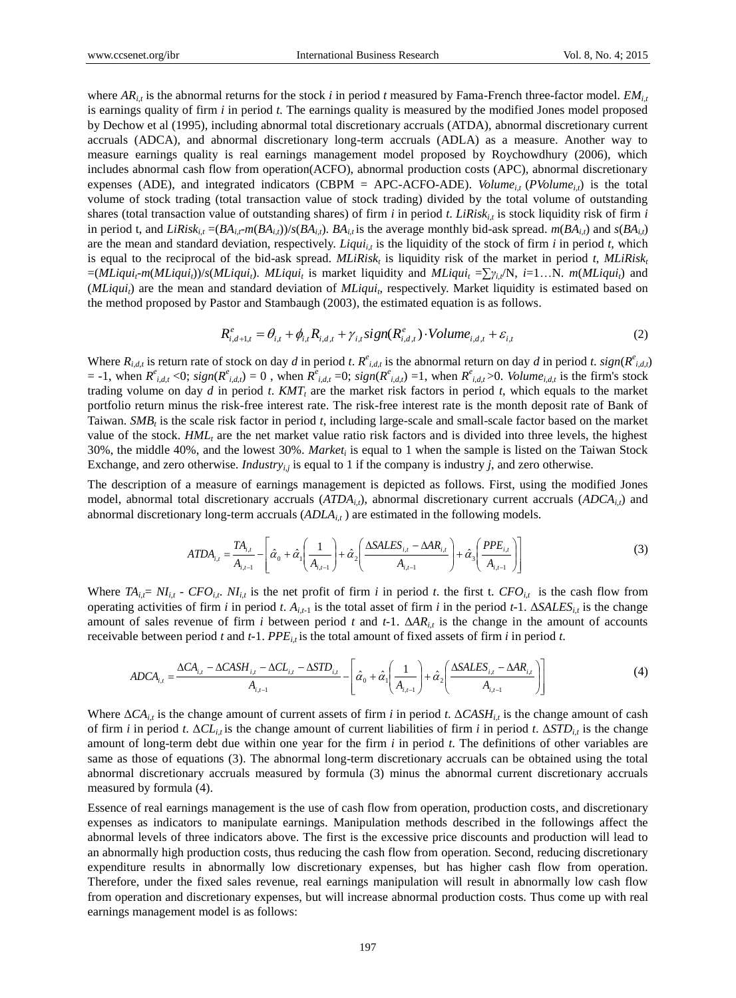where  $AR_i$ , is the abnormal returns for the stock *i* in period *t* measured by Fama-French three-factor model.  $EM_i$ is earnings quality of firm *i* in period *t.* The earnings quality is measured by the modified Jones model proposed by Dechow et al (1995), including abnormal total discretionary accruals (ATDA), abnormal discretionary current accruals (ADCA), and abnormal discretionary long-term accruals (ADLA) as a measure. Another way to measure earnings quality is real earnings management model proposed by Roychowdhury (2006), which includes abnormal cash flow from operation(ACFO), abnormal production costs (APC), abnormal discretionary expenses (ADE), and integrated indicators (CBPM = APC-ACFO-ADE). *Volume<sub>i,t</sub>* (*PVolume<sub>i,t</sub>*) is the total volume of stock trading (total transaction value of stock trading) divided by the total volume of outstanding shares (total transaction value of outstanding shares) of firm *i* in period *t*. *LiRisk*<sub>*i*,t</sub> is stock liquidity risk of firm *i* in period t, and LiRisk<sub>i,t</sub> =  $(BA_{i,t} - m(BA_{i,t}))$ /s( $BA_{i,t}$ ).  $BA_{i,t}$  is the average monthly bid-ask spread.  $m(BA_{i,t})$  and  $s(BA_{i,t})$ are the mean and standard deviation, respectively. *Liqui*<sub>it</sub> is the liquidity of the stock of firm *i* in period *t*, which is equal to the reciprocal of the bid-ask spread. *MLiRisk<sup>t</sup>* is liquidity risk of the market in period *t*, *MLiRisk<sup>t</sup>*  $=(MLiqui_t-m(MLiqui_t))/s(MLiqui_t)$ . MLiqui<sub>t</sub> is market liquidity and MLiqui<sub>t</sub>  $=\sum y_{i,t}/N$ , *i*=1...N. *m*(*MLiqui*<sub>t</sub>) and (*MLiquit*) are the mean and standard deviation of *MLiqui<sup>t</sup>* , respectively. Market liquidity is estimated based on the method proposed by Pastor and Stambaugh (2003), the estimated equation is as follows.

$$
R_{i,d+1,t}^{e} = \theta_{i,t} + \phi_{i,t} R_{i,d,t} + \gamma_{i,t} sign(R_{i,d,t}^{e}) \cdot Volume_{i,d,t} + \varepsilon_{i,t}
$$
 (2)

Where  $R_{i,d,t}$  is return rate of stock on day d in period t.  $R^e_{i,d,t}$  is the abnormal return on day d in period t.  $sign(R^e_{i,d,t})$  $=$  -1, when  $R^{e}_{i,d,t}$  <0;  $sign(R^{e}_{i,d,t}) = 0$ , when  $R^{e}_{i,d,t} = 0$ ;  $sign(R^{e}_{i,d,t}) = 1$ , when  $R^{e}_{i,d,t} > 0$ . Volume<sub>i,d,t</sub> is the firm's stock trading volume on day  $d$  in period  $t$ .  $KMT_t$  are the market risk factors in period  $t$ , which equals to the market portfolio return minus the risk-free interest rate. The risk-free interest rate is the month deposit rate of Bank of Taiwan. *SMB<sup>t</sup>* is the scale risk factor in period *t*, including large-scale and small-scale factor based on the market value of the stock. *HML<sup>t</sup>* are the net market value ratio risk factors and is divided into three levels, the highest 30%, the middle 40%, and the lowest 30%. *Market<sup>i</sup>* is equal to 1 when the sample is listed on the Taiwan Stock Exchange, and zero otherwise. *Industry<sub>ii</sub>* is equal to 1 if the company is industry *j*, and zero otherwise.

The description of a measure of earnings management is depicted as follows. First, using the modified Jones model, abnormal total discretionary accruals (*ATDAi,t*), abnormal discretionary current accruals (*ADCAi,t*) and abnormal discretionary long-term accruals (*ADLAi,t* ) are estimated in the following models.

$$
ATDA_{i,t} = \frac{TA_{i,t}}{A_{i,t-1}} - \left[\hat{\alpha}_0 + \hat{\alpha}_1 \left(\frac{1}{A_{i,t-1}}\right) + \hat{\alpha}_2 \left(\frac{\Delta SALES_{i,t} - \Delta AR_{i,t}}{A_{i,t-1}}\right) + \hat{\alpha}_3 \left(\frac{PPE_{i,t}}{A_{i,t-1}}\right)\right]
$$
(3)

Where  $TA_{i,t} = NI_{i,t}$  -  $CFO_{i,t}$ .  $NI_{i,t}$  is the net profit of firm *i* in period *t*. the first t.  $CFO_{i,t}$  is the cash flow from operating activities of firm *i* in period *t*.  $A_{i,t-1}$  is the total asset of firm *i* in the period *t*-1.  $\Delta SALES_{i,t}$  is the change amount of sales revenue of firm *i* between period *t* and  $t$ -1.  $\Delta AR_{i,t}$  is the change in the amount of accounts receivable between period *t* and *t-*1. *PPEi,t* is the total amount of fixed assets of firm *i* in period *t*.

$$
ADCA_{i,t} = \frac{\Delta CA_{i,t} - \Delta CASH_{i,t} - \Delta CL_{i,t} - \Delta STD_{i,t}}{A_{i,t-1}} - \left[\hat{\alpha}_0 + \hat{\alpha}_1 \left(\frac{1}{A_{i,t-1}}\right) + \hat{\alpha}_2 \left(\frac{\Delta SALES_{i,t} - \Delta AR_{i,t}}{A_{i,t-1}}\right)\right]
$$
(4)

Where  $\Delta CA_{i,t}$  is the change amount of current assets of firm *i* in period *t*.  $\Delta CASH_{i,t}$  is the change amount of cash of firm *i* in period *t*.  $\Delta CL_{i,t}$  is the change amount of current liabilities of firm *i* in period *t*.  $\Delta STD_{i,t}$  is the change amount of long-term debt due within one year for the firm *i* in period *t*. The definitions of other variables are same as those of equations (3). The abnormal long-term discretionary accruals can be obtained using the total abnormal discretionary accruals measured by formula (3) minus the abnormal current discretionary accruals measured by formula (4).

Essence of real earnings management is the use of cash flow from operation, production costs, and discretionary expenses as indicators to manipulate earnings. Manipulation methods described in the followings affect the abnormal levels of three indicators above. The first is the excessive price discounts and production will lead to an abnormally high production costs, thus reducing the cash flow from operation. Second, reducing discretionary expenditure results in abnormally low discretionary expenses, but has higher cash flow from operation. Therefore, under the fixed sales revenue, real earnings manipulation will result in abnormally low cash flow from operation and discretionary expenses, but will increase abnormal production costs. Thus come up with real earnings management model is as follows: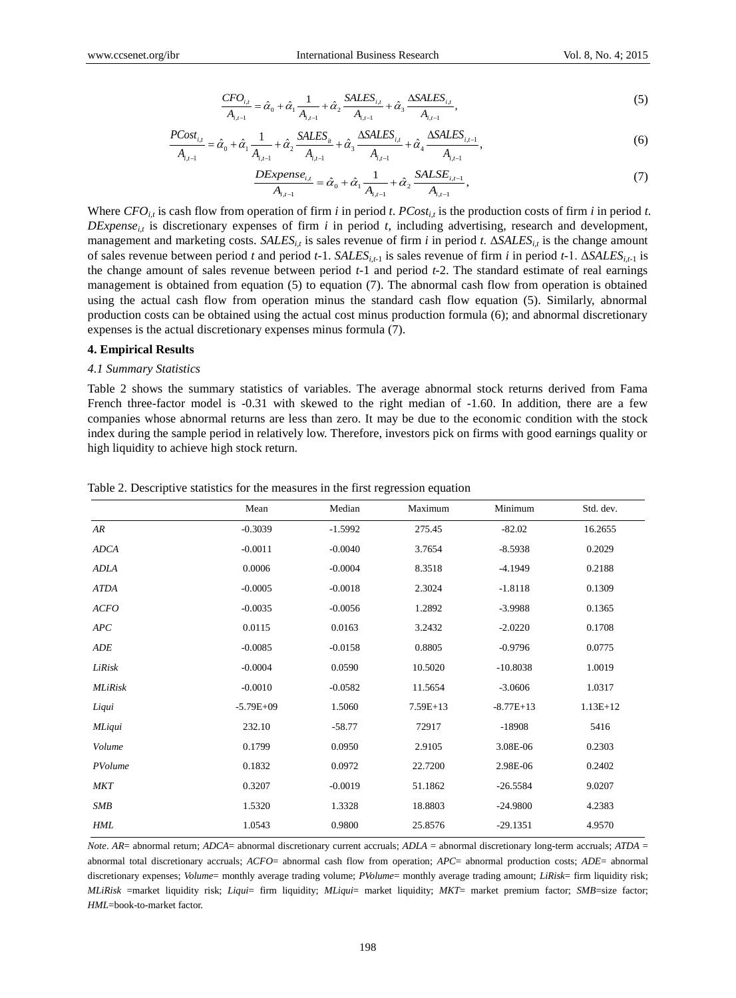$$
\frac{CFO_{i,t}}{A_{i,t-1}} = \hat{\alpha}_0 + \hat{\alpha}_1 \frac{1}{A_{i,t-1}} + \hat{\alpha}_2 \frac{SALES_{i,t}}{A_{i,t-1}} + \hat{\alpha}_3 \frac{ASALES_{i,t}}{A_{i,t-1}},
$$
\n(5)

$$
\frac{PCost_{i,t}}{A_{i,t-1}} = \hat{\alpha}_0 + \hat{\alpha}_1 \frac{1}{A_{i,t-1}} + \hat{\alpha}_2 \frac{SALES_{i,t}}{A_{i,t-1}} + \hat{\alpha}_3 \frac{ASALES_{i,t}}{A_{i,t-1}} + \hat{\alpha}_4 \frac{ASALES_{i,t-1}}{A_{i,t-1}},
$$
(6)

$$
\frac{DExpense_{i,t}}{A_{i,t-1}} = \hat{\alpha}_0 + \hat{\alpha}_1 \frac{1}{A_{i,t-1}} + \hat{\alpha}_2 \frac{SALSE_{i,t-1}}{A_{i,t-1}},
$$
\n(7)

Where  $CFO_{i,t}$  is cash flow from operation of firm *i* in period *t*.  $PCost_{i,t}$  is the production costs of firm *i* in period *t*. *DExpense<sub>it</sub>* is discretionary expenses of firm *i* in period *t*, including advertising, research and development, management and marketing costs.  $SALES_i$ , is sales revenue of firm *i* in period *t*.  $\Delta SALES_i$ , is the change amount of sales revenue between period *t* and period *t-*1. *SALESi,t-*<sup>1</sup> is sales revenue of firm *i* in period *t-*1. Δ*SALESi,t-*<sup>1</sup> is the change amount of sales revenue between period *t-*1 and period *t-*2. The standard estimate of real earnings management is obtained from equation (5) to equation (7). The abnormal cash flow from operation is obtained using the actual cash flow from operation minus the standard cash flow equation (5). Similarly, abnormal production costs can be obtained using the actual cost minus production formula (6); and abnormal discretionary expenses is the actual discretionary expenses minus formula (7).

#### **4. Empirical Results**

#### *4.1 Summary Statistics*

Table 2 shows the summary statistics of variables. The average abnormal stock returns derived from Fama French three-factor model is -0.31 with skewed to the right median of -1.60. In addition, there are a few companies whose abnormal returns are less than zero. It may be due to the economic condition with the stock index during the sample period in relatively low. Therefore, investors pick on firms with good earnings quality or high liquidity to achieve high stock return.

|                | Mean        | Median    | Maximum    | Minimum     | Std. dev.  |
|----------------|-------------|-----------|------------|-------------|------------|
| AR             | $-0.3039$   | $-1.5992$ | 275.45     | $-82.02$    | 16.2655    |
| <b>ADCA</b>    | $-0.0011$   | $-0.0040$ | 3.7654     | $-8.5938$   | 0.2029     |
| <b>ADLA</b>    | 0.0006      | $-0.0004$ | 8.3518     | $-4.1949$   | 0.2188     |
| <b>ATDA</b>    | $-0.0005$   | $-0.0018$ | 2.3024     | $-1.8118$   | 0.1309     |
| <b>ACFO</b>    | $-0.0035$   | $-0.0056$ | 1.2892     | $-3.9988$   | 0.1365     |
| APC            | 0.0115      | 0.0163    | 3.2432     | $-2.0220$   | 0.1708     |
| ADE            | $-0.0085$   | $-0.0158$ | 0.8805     | $-0.9796$   | 0.0775     |
| LiRisk         | $-0.0004$   | 0.0590    | 10.5020    | $-10.8038$  | 1.0019     |
| <b>MLiRisk</b> | $-0.0010$   | $-0.0582$ | 11.5654    | $-3.0606$   | 1.0317     |
| Liqui          | $-5.79E+09$ | 1.5060    | $7.59E+13$ | $-8.77E+13$ | $1.13E+12$ |
| <i>MLiqui</i>  | 232.10      | $-58.77$  | 72917      | $-18908$    | 5416       |
| Volume         | 0.1799      | 0.0950    | 2.9105     | 3.08E-06    | 0.2303     |
| PVolume        | 0.1832      | 0.0972    | 22.7200    | 2.98E-06    | 0.2402     |
| <b>MKT</b>     | 0.3207      | $-0.0019$ | 51.1862    | $-26.5584$  | 9.0207     |
| <b>SMB</b>     | 1.5320      | 1.3328    | 18.8803    | $-24.9800$  | 4.2383     |
| <b>HML</b>     | 1.0543      | 0.9800    | 25.8576    | $-29.1351$  | 4.9570     |

Table 2. Descriptive statistics for the measures in the first regression equation

*Note*. *AR*= abnormal return; *ADCA*= abnormal discretionary current accruals; *ADLA* = abnormal discretionary long-term accruals; *ATDA* = abnormal total discretionary accruals; *ACFO*= abnormal cash flow from operation; *APC*= abnormal production costs; *ADE*= abnormal discretionary expenses; *Volume*= monthly average trading volume; *PVolume*= monthly average trading amount; *LiRisk*= firm liquidity risk; *MLiRisk* =market liquidity risk; *Liqui*= firm liquidity; *MLiqui*= market liquidity; *MKT*= market premium factor; *SMB*=size factor; *HML*=book-to-market factor.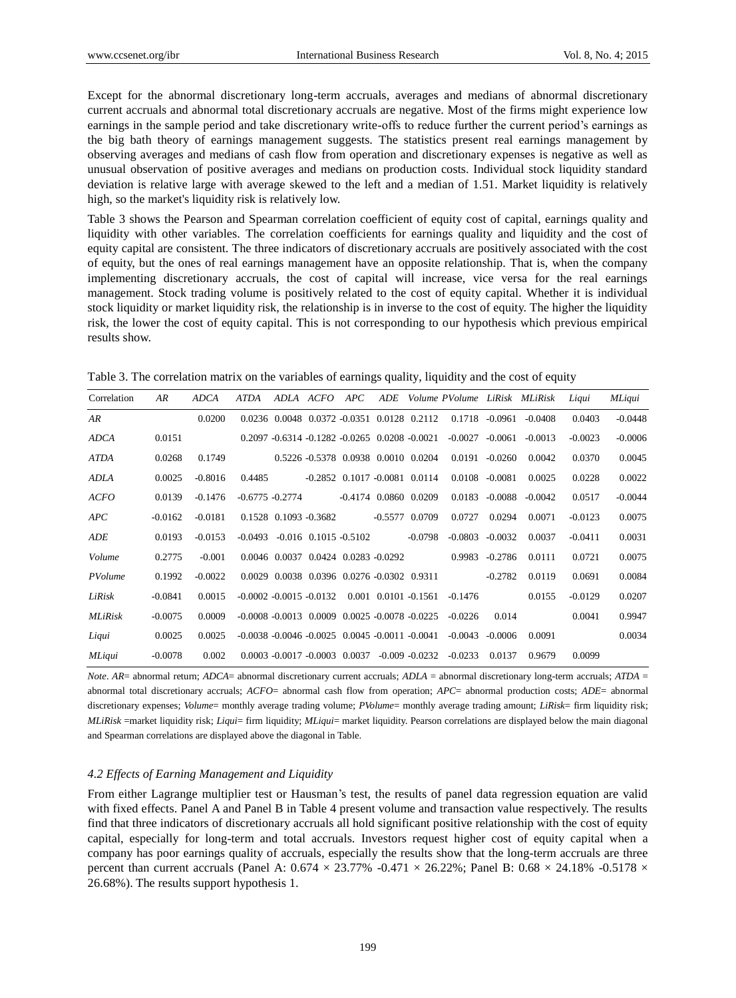Except for the abnormal discretionary long-term accruals, averages and medians of abnormal discretionary current accruals and abnormal total discretionary accruals are negative. Most of the firms might experience low earnings in the sample period and take discretionary write-offs to reduce further the current period's earnings as the big bath theory of earnings management suggests. The statistics present real earnings management by observing averages and medians of cash flow from operation and discretionary expenses is negative as well as unusual observation of positive averages and medians on production costs. Individual stock liquidity standard deviation is relative large with average skewed to the left and a median of 1.51. Market liquidity is relatively high, so the market's liquidity risk is relatively low.

Table 3 shows the Pearson and Spearman correlation coefficient of equity cost of capital, earnings quality and liquidity with other variables. The correlation coefficients for earnings quality and liquidity and the cost of equity capital are consistent. The three indicators of discretionary accruals are positively associated with the cost of equity, but the ones of real earnings management have an opposite relationship. That is, when the company implementing discretionary accruals, the cost of capital will increase, vice versa for the real earnings management. Stock trading volume is positively related to the cost of equity capital. Whether it is individual stock liquidity or market liquidity risk, the relationship is in inverse to the cost of equity. The higher the liquidity risk, the lower the cost of equity capital. This is not corresponding to our hypothesis which previous empirical results show.

| Table 3. The correlation matrix on the variables of earnings quality, liquidity and the cost of equity |
|--------------------------------------------------------------------------------------------------------|
|--------------------------------------------------------------------------------------------------------|

| Correlation    | AR        | <b>ADCA</b> | ATDA                        | ADLA ACFO               | APC                                 |                                                       | ADE Volume PVolume LiRisk MLiRisk |                   |                            | Liqui     | MLiqui    |
|----------------|-----------|-------------|-----------------------------|-------------------------|-------------------------------------|-------------------------------------------------------|-----------------------------------|-------------------|----------------------------|-----------|-----------|
| AR             |           | 0.0200      |                             |                         |                                     | 0.0236 0.0048 0.0372 -0.0351 0.0128 0.2112            |                                   |                   | $0.1718 - 0.0961 - 0.0408$ | 0.0403    | $-0.0448$ |
| ADCA           | 0.0151    |             |                             |                         |                                     | $0.2097 - 0.6314 - 0.1282 - 0.0265$ $0.0208 - 0.0021$ | -0.0027                           | -0.0061           | $-0.0013$                  | $-0.0023$ | $-0.0006$ |
| <b>ATDA</b>    | 0.0268    | 0.1749      |                             |                         |                                     | 0.5226 -0.5378 0.0938 0.0010 0.0204                   | 0.0191                            | $-0.0260$         | 0.0042                     | 0.0370    | 0.0045    |
| ADLA           | 0.0025    | $-0.8016$   | 0.4485                      |                         |                                     | $-0.2852$ 0.1017 $-0.0081$ 0.0114                     |                                   | $0.0108 - 0.0081$ | 0.0025                     | 0.0228    | 0.0022    |
| <b>ACFO</b>    | 0.0139    | $-0.1476$   | $-0.6775 - 0.2774$          |                         |                                     | $-0.4174$ 0.0860 0.0209                               |                                   |                   | $0.0183 - 0.0088 - 0.0042$ | 0.0517    | $-0.0044$ |
| APC            | $-0.0162$ | $-0.0181$   |                             | $0.1528$ 0.1093 -0.3682 |                                     | $-0.5577$ 0.0709                                      | 0.0727                            | 0.0294            | 0.0071                     | $-0.0123$ | 0.0075    |
| ADE            | 0.0193    | $-0.0153$   | $-0.0493$                   |                         | $-0.016$ 0.1015 $-0.5102$           | $-0.0798$                                             | $-0.0803$                         | $-0.0032$         | 0.0037                     | $-0.0411$ | 0.0031    |
| Volume         | 0.2775    | $-0.001$    |                             |                         | 0.0046 0.0037 0.0424 0.0283 -0.0292 |                                                       |                                   | 0.9983 -0.2786    | 0.0111                     | 0.0721    | 0.0075    |
| PVolume        | 0.1992    | $-0.0022$   |                             |                         |                                     | 0.0029 0.0038 0.0396 0.0276 -0.0302 0.9311            |                                   | $-0.2782$         | 0.0119                     | 0.0691    | 0.0084    |
| LiRisk         | $-0.0841$ | 0.0015      | $-0.0002 - 0.0015 - 0.0132$ |                         |                                     | $0.001$ $0.0101$ $-0.1561$                            | $-0.1476$                         |                   | 0.0155                     | $-0.0129$ | 0.0207    |
| <b>MLiRisk</b> | $-0.0075$ | 0.0009      |                             |                         |                                     | $-0.0008 - 0.0013$ 0.0009 0.0025 $-0.0078 - 0.0225$   | $-0.0226$                         | 0.014             |                            | 0.0041    | 0.9947    |
| Liqui          | 0.0025    | 0.0025      |                             |                         |                                     | $-0.0038 - 0.0046 - 0.0025$ 0.0045 $-0.0011 - 0.0041$ | $-0.0043$                         | $-0.0006$         | 0.0091                     |           | 0.0034    |
| <i>MLiqui</i>  | $-0.0078$ | 0.002       |                             |                         | $0.0003 - 0.0017 - 0.0003$ 0.0037   | $-0.009 - 0.0232$                                     | $-0.0233$                         | 0.0137            | 0.9679                     | 0.0099    |           |

*Note*. *AR*= abnormal return; *ADCA*= abnormal discretionary current accruals; *ADLA* = abnormal discretionary long-term accruals; *ATDA* = abnormal total discretionary accruals; *ACFO*= abnormal cash flow from operation; *APC*= abnormal production costs; *ADE*= abnormal discretionary expenses; *Volume*= monthly average trading volume; *PVolume*= monthly average trading amount; *LiRisk*= firm liquidity risk; *MLiRisk* =market liquidity risk; *Liqui*= firm liquidity; *MLiqui*= market liquidity. Pearson correlations are displayed below the main diagonal and Spearman correlations are displayed above the diagonal in Table.

# *4.2 Effects of Earning Management and Liquidity*

From either Lagrange multiplier test or Hausman's test, the results of panel data regression equation are valid with fixed effects. Panel A and Panel B in Table 4 present volume and transaction value respectively. The results find that three indicators of discretionary accruals all hold significant positive relationship with the cost of equity capital, especially for long-term and total accruals. Investors request higher cost of equity capital when a company has poor earnings quality of accruals, especially the results show that the long-term accruals are three percent than current accruals (Panel A:  $0.674 \times 23.77\%$  -0.471  $\times 26.22\%$ ; Panel B:  $0.68 \times 24.18\%$  -0.5178  $\times$ 26.68%). The results support hypothesis 1.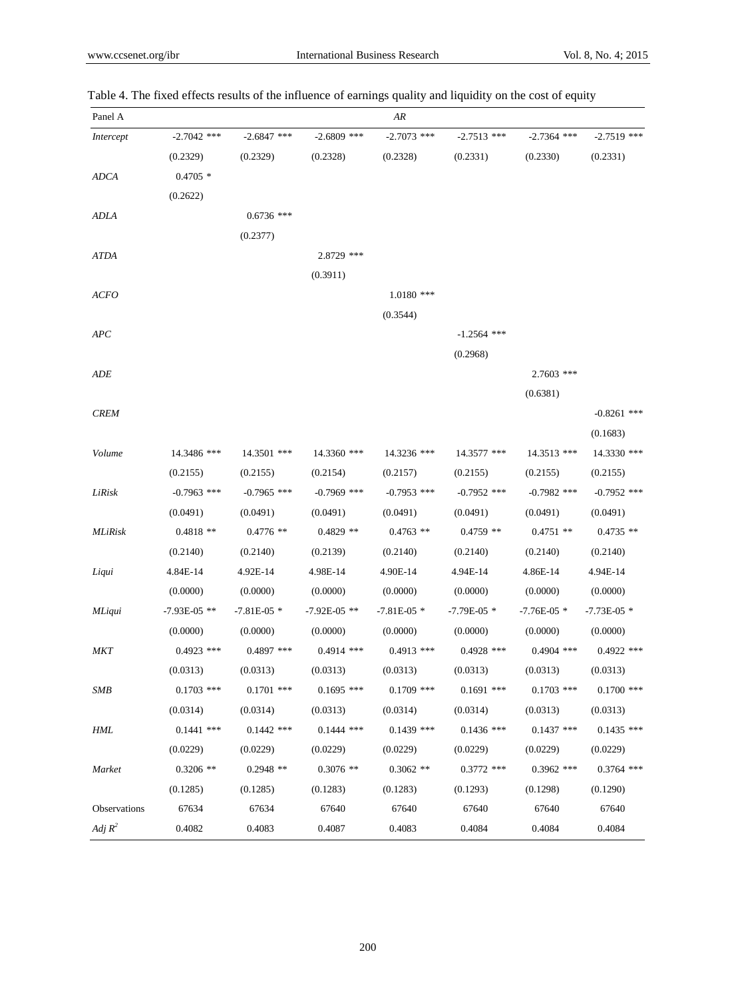| Panel A        |                |               |                  | AR            |                 |               |               |
|----------------|----------------|---------------|------------------|---------------|-----------------|---------------|---------------|
| Intercept      | $-2.7042$ ***  | $-2.6847$ *** | $-2.6809$ ***    | $-2.7073$ *** | $-2.7513$ ***   | $-2.7364$ *** | $-2.7519$ *** |
|                | (0.2329)       | (0.2329)      | (0.2328)         | (0.2328)      | (0.2331)        | (0.2330)      | (0.2331)      |
| ADCA           | $0.4705*$      |               |                  |               |                 |               |               |
|                | (0.2622)       |               |                  |               |                 |               |               |
| ADLA           |                | $0.6736$ ***  |                  |               |                 |               |               |
|                |                | (0.2377)      |                  |               |                 |               |               |
| ATDA           |                |               | $2.8729$ ***     |               |                 |               |               |
|                |                |               | (0.3911)         |               |                 |               |               |
| ACFO           |                |               |                  | $1.0180$ ***  |                 |               |               |
|                |                |               |                  | (0.3544)      |                 |               |               |
| APC            |                |               |                  |               | $-1.2564$ ***   |               |               |
|                |                |               |                  |               | (0.2968)        |               |               |
| ADE            |                |               |                  |               |                 | $2.7603$ ***  |               |
|                |                |               |                  |               |                 | (0.6381)      |               |
| <b>CREM</b>    |                |               |                  |               |                 |               | $-0.8261$ *** |
|                |                |               |                  |               |                 |               | (0.1683)      |
| Volume         | 14.3486 ***    | 14.3501 ***   | 14.3360 ***      | 14.3236 ***   | 14.3577 ***     | 14.3513 ***   | 14.3330 ***   |
|                | (0.2155)       | (0.2155)      | (0.2154)         | (0.2157)      | (0.2155)        | (0.2155)      | (0.2155)      |
| LiRisk         | $-0.7963$ ***  | $-0.7965$ *** | $-0.7969$ ***    | $-0.7953$ *** | $-0.7952$ ***   | $-0.7982$ *** | $-0.7952$ *** |
|                | (0.0491)       | (0.0491)      | (0.0491)         | (0.0491)      | (0.0491)        | (0.0491)      | (0.0491)      |
| <b>MLiRisk</b> | $0.4818**$     | $0.4776$ **   | $0.4829$ **      | $0.4763$ **   | $0.4759$ **     | $0.4751$ **   | $0.4735**$    |
|                | (0.2140)       | (0.2140)      | (0.2139)         | (0.2140)      | (0.2140)        | (0.2140)      | (0.2140)      |
| Liqui          | 4.84E-14       | 4.92E-14      | 4.98E-14         | 4.90E-14      | 4.94E-14        | 4.86E-14      | 4.94E-14      |
|                | (0.0000)       | (0.0000)      | (0.0000)         | (0.0000)      | (0.0000)        | (0.0000)      | (0.0000)      |
| MLiqui         | $-7.93E-05$ ** | $-7.81E-05$ * | $-7.92E - 05$ ** | $-7.81E-05$ * | $-7.79E - 05$ * | $-7.76E-05$ * | $-7.73E-05$ * |
|                | (0.0000)       | (0.0000)      | (0.0000)         | (0.0000)      | (0.0000)        | (0.0000)      | (0.0000)      |
| MKT            | $0.4923$ ***   | $0.4897$ ***  | $0.4914$ ***     | $0.4913$ ***  | $0.4928$ ***    | $0.4904$ ***  | $0.4922$ ***  |
|                | (0.0313)       | (0.0313)      | (0.0313)         | (0.0313)      | (0.0313)        | (0.0313)      | (0.0313)      |
| SMB            | $0.1703$ ***   | $0.1701$ ***  | $0.1695$ ***     | $0.1709$ ***  | $0.1691$ ***    | $0.1703$ ***  | $0.1700$ ***  |
|                | (0.0314)       | (0.0314)      | (0.0313)         | (0.0314)      | (0.0314)        | (0.0313)      | (0.0313)      |
| HML            | $0.1441$ ***   | $0.1442$ ***  | $0.1444$ ***     | $0.1439$ ***  | $0.1436$ ***    | $0.1437$ ***  | $0.1435$ ***  |
|                | (0.0229)       | (0.0229)      | (0.0229)         | (0.0229)      | (0.0229)        | (0.0229)      | (0.0229)      |
| Market         | $0.3206$ **    | $0.2948$ **   | $0.3076$ **      | $0.3062$ **   | $0.3772$ ***    | $0.3962$ ***  | $0.3764$ ***  |
|                | (0.1285)       | (0.1285)      | (0.1283)         | (0.1283)      | (0.1293)        | (0.1298)      | (0.1290)      |
| Observations   | 67634          | 67634         | 67640            | 67640         | 67640           | 67640         | 67640         |
| Adj $R^2$      | 0.4082         | 0.4083        | 0.4087           | 0.4083        | 0.4084          | 0.4084        | 0.4084        |

# Table 4. The fixed effects results of the influence of earnings quality and liquidity on the cost of equity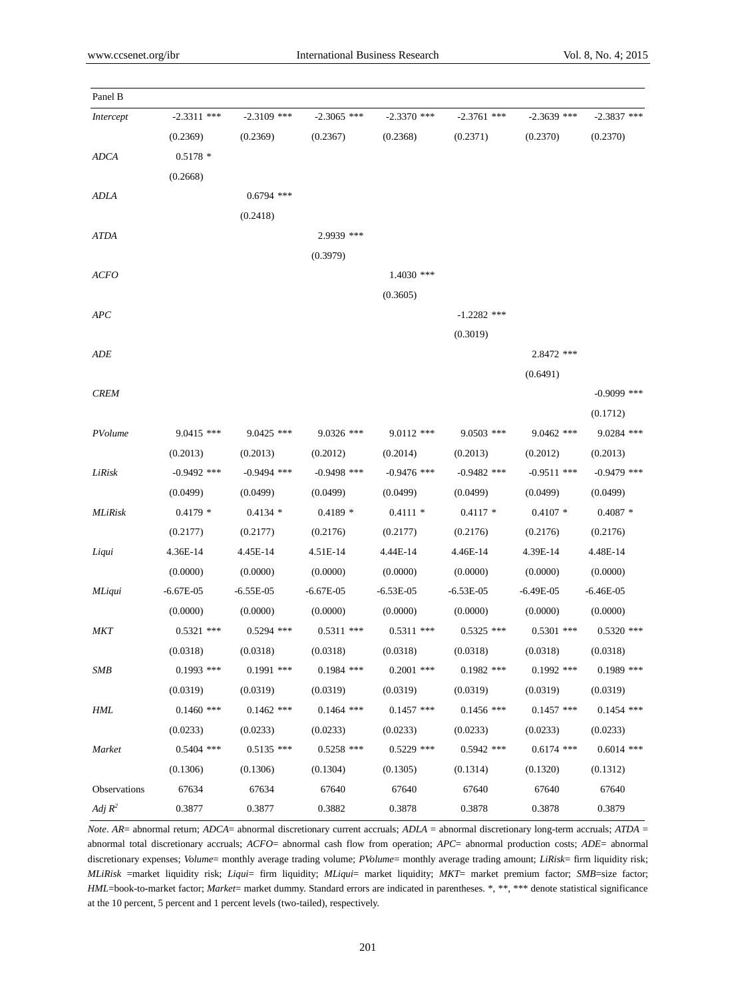| Panel B        |               |               |               |               |               |               |               |
|----------------|---------------|---------------|---------------|---------------|---------------|---------------|---------------|
| Intercept      | $-2.3311$ *** | $-2.3109$ *** | $-2.3065$ *** | $-2.3370$ *** | $-2.3761$ *** | $-2.3639$ *** | $-2.3837$ *** |
|                | (0.2369)      | (0.2369)      | (0.2367)      | (0.2368)      | (0.2371)      | (0.2370)      | (0.2370)      |
| <b>ADCA</b>    | $0.5178*$     |               |               |               |               |               |               |
|                | (0.2668)      |               |               |               |               |               |               |
| ADLA           |               | $0.6794$ ***  |               |               |               |               |               |
|                |               | (0.2418)      |               |               |               |               |               |
| <b>ATDA</b>    |               |               | 2.9939 ***    |               |               |               |               |
|                |               |               | (0.3979)      |               |               |               |               |
| ACFO           |               |               |               | $1.4030$ ***  |               |               |               |
|                |               |               |               | (0.3605)      |               |               |               |
| APC            |               |               |               |               | $-1.2282$ *** |               |               |
|                |               |               |               |               | (0.3019)      |               |               |
| ADE            |               |               |               |               |               | 2.8472 ***    |               |
|                |               |               |               |               |               | (0.6491)      |               |
| <b>CREM</b>    |               |               |               |               |               |               | $-0.9099$ *** |
|                |               |               |               |               |               |               | (0.1712)      |
| PVolume        | $9.0415$ ***  | $9.0425$ ***  | $9.0326$ ***  | $9.0112$ ***  | $9.0503$ ***  | $9.0462$ ***  | $9.0284$ ***  |
|                | (0.2013)      | (0.2013)      | (0.2012)      | (0.2014)      | (0.2013)      | (0.2012)      | (0.2013)      |
| LiRisk         | $-0.9492$ *** | $-0.9494$ *** | $-0.9498$ *** | $-0.9476$ *** | $-0.9482$ *** | $-0.9511$ *** | $-0.9479$ *** |
|                | (0.0499)      | (0.0499)      | (0.0499)      | (0.0499)      | (0.0499)      | (0.0499)      | (0.0499)      |
| <b>MLiRisk</b> | $0.4179*$     | $0.4134*$     | $0.4189*$     | $0.4111 *$    | $0.4117 *$    | $0.4107 *$    | $0.4087*$     |
|                | (0.2177)      | (0.2177)      | (0.2176)      | (0.2177)      | (0.2176)      | (0.2176)      | (0.2176)      |
| Liqui          | 4.36E-14      | 4.45E-14      | 4.51E-14      | 4.44E-14      | 4.46E-14      | 4.39E-14      | 4.48E-14      |
|                | (0.0000)      | (0.0000)      | (0.0000)      | (0.0000)      | (0.0000)      | (0.0000)      | (0.0000)      |
| MLiqui         | $-6.67E-05$   | $-6.55E-05$   | $-6.67E-05$   | $-6.53E-05$   | $-6.53E-05$   | $-6.49E - 05$ | $-6.46E-05$   |
|                | (0.0000)      | (0.0000)      | (0.0000)      | (0.0000)      | (0.0000)      | (0.0000)      | (0.0000)      |
| MKT            | $0.5321$ ***  | $0.5294$ ***  | $0.5311$ ***  | $0.5311$ ***  | $0.5325$ ***  | $0.5301$ ***  | $0.5320$ ***  |
|                | (0.0318)      | (0.0318)      | (0.0318)      | (0.0318)      | (0.0318)      | (0.0318)      | (0.0318)      |
| SMB            | $0.1993$ ***  | $0.1991$ ***  | $0.1984$ ***  | $0.2001$ ***  | $0.1982$ ***  | $0.1992$ ***  | $0.1989$ ***  |
|                | (0.0319)      | (0.0319)      | (0.0319)      | (0.0319)      | (0.0319)      | (0.0319)      | (0.0319)      |
| HML            | $0.1460$ ***  | $0.1462$ ***  | $0.1464$ ***  | $0.1457$ ***  | $0.1456$ ***  | $0.1457$ ***  | $0.1454$ ***  |
|                | (0.0233)      | (0.0233)      | (0.0233)      | (0.0233)      | (0.0233)      | (0.0233)      | (0.0233)      |
| Market         | $0.5404$ ***  | $0.5135$ ***  | $0.5258$ ***  | $0.5229$ ***  | $0.5942$ ***  | $0.6174$ ***  | $0.6014$ ***  |
|                | (0.1306)      | (0.1306)      | (0.1304)      | (0.1305)      | (0.1314)      | (0.1320)      | (0.1312)      |
| Observations   | 67634         | 67634         | 67640         | 67640         | 67640         | 67640         | 67640         |
| Adj $R^2$      | 0.3877        | 0.3877        | 0.3882        | 0.3878        | 0.3878        | 0.3878        | 0.3879        |

*Note*. *AR*= abnormal return; *ADCA*= abnormal discretionary current accruals; *ADLA* = abnormal discretionary long-term accruals; *ATDA* = abnormal total discretionary accruals; *ACFO*= abnormal cash flow from operation; *APC*= abnormal production costs; *ADE*= abnormal discretionary expenses; *Volume*= monthly average trading volume; *PVolume*= monthly average trading amount; *LiRisk*= firm liquidity risk; *MLiRisk* =market liquidity risk; *Liqui*= firm liquidity; *MLiqui*= market liquidity; *MKT*= market premium factor; *SMB*=size factor; *HML*=book-to-market factor; *Market*= market dummy. Standard errors are indicated in parentheses. \*, \*\*, \*\*\* denote statistical significance at the 10 percent, 5 percent and 1 percent levels (two-tailed), respectively.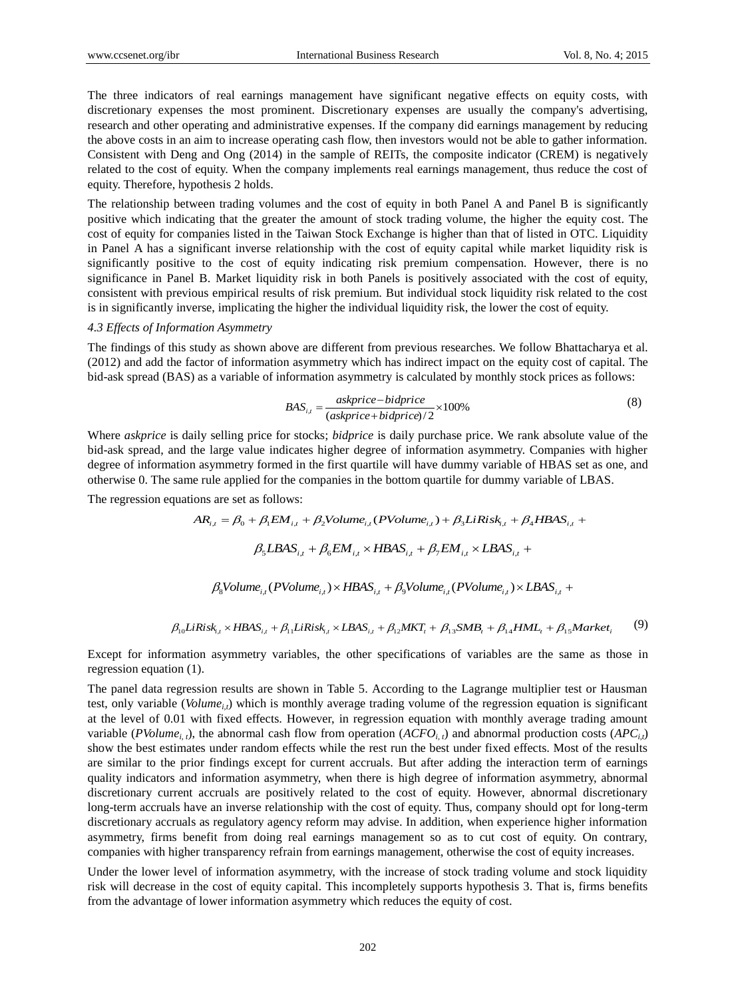The three indicators of real earnings management have significant negative effects on equity costs, with discretionary expenses the most prominent. Discretionary expenses are usually the company's advertising, research and other operating and administrative expenses. If the company did earnings management by reducing the above costs in an aim to increase operating cash flow, then investors would not be able to gather information. Consistent with Deng and Ong (2014) in the sample of REITs, the composite indicator (CREM) is negatively related to the cost of equity. When the company implements real earnings management, thus reduce the cost of equity. Therefore, hypothesis 2 holds.

The relationship between trading volumes and the cost of equity in both Panel A and Panel B is significantly positive which indicating that the greater the amount of stock trading volume, the higher the equity cost. The cost of equity for companies listed in the Taiwan Stock Exchange is higher than that of listed in OTC. Liquidity in Panel A has a significant inverse relationship with the cost of equity capital while market liquidity risk is significantly positive to the cost of equity indicating risk premium compensation. However, there is no significance in Panel B. Market liquidity risk in both Panels is positively associated with the cost of equity, consistent with previous empirical results of risk premium. But individual stock liquidity risk related to the cost is in significantly inverse, implicating the higher the individual liquidity risk, the lower the cost of equity.

#### *4.3 Effects of Information Asymmetry*

The findings of this study as shown above are different from previous researches. We follow Bhattacharya et al. (2012) and add the factor of information asymmetry which has indirect impact on the equity cost of capital. The bid-ask spread (BAS) as a variable of information asymmetry is calculated by monthly stock prices as follows:

$$
BAS_{i,t} = \frac{askprice - bidprice}{(askprice + bidprice)/2} \times 100\%
$$
\n(8)

Where *askprice* is daily selling price for stocks; *bidprice* is daily purchase price. We rank absolute value of the bid-ask spread, and the large value indicates higher degree of information asymmetry. Companies with higher degree of information asymmetry formed in the first quartile will have dummy variable of HBAS set as one, and otherwise 0. The same rule applied for the companies in the bottom quartile for dummy variable of LBAS.

The regression equations are set as follows:

$$
AR_{i,t} = \beta_0 + \beta_1 EM_{i,t} + \beta_2 Volume_{i,t} (PVolume_{i,t}) + \beta_3 Likisk_{i,t} + \beta_4 HBAS_{i,t} +
$$
  

$$
\beta_5 LBAS_{i,t} + \beta_6 EM_{i,t} \times HBAS_{i,t} + \beta_7 EM_{i,t} \times LBAS_{i,t} +
$$

 $\beta_{8}$ Volume<sub>*i*,t</sub></sub> (PVolume<sub>*i*,t</sub></sub>)  $\times$  HBAS<sub>*i*,t</sub> +  $\beta_{9}$ Volume<sub>*i*,t</sub></sub> (PVolume<sub>*i*,t</sub>)  $\times$  LBAS<sub>*i*,t</sub> +

$$
\beta_{10}LiRisk_{i,t} \times HBAS_{i,t} + \beta_{11}LiRisk_{i,t} \times LBAS_{i,t} + \beta_{12}MKT_t + \beta_{13}SMB_t + \beta_{14}HML_t + \beta_{15}Market_t
$$
 (9)

Except for information asymmetry variables, the other specifications of variables are the same as those in regression equation (1).

The panel data regression results are shown in Table 5. According to the Lagrange multiplier test or Hausman test, only variable (*Volume<sub>it</sub>*) which is monthly average trading volume of the regression equation is significant at the level of 0.01 with fixed effects. However, in regression equation with monthly average trading amount variable (*PVolume<sub>i, i</sub>*), the abnormal cash flow from operation ( $ACFO<sub>i</sub>$ ) and abnormal production costs ( $APC<sub>i</sub>$ ) show the best estimates under random effects while the rest run the best under fixed effects. Most of the results are similar to the prior findings except for current accruals. But after adding the interaction term of earnings quality indicators and information asymmetry, when there is high degree of information asymmetry, abnormal discretionary current accruals are positively related to the cost of equity. However, abnormal discretionary long-term accruals have an inverse relationship with the cost of equity. Thus, company should opt for long-term discretionary accruals as regulatory agency reform may advise. In addition, when experience higher information asymmetry, firms benefit from doing real earnings management so as to cut cost of equity. On contrary, companies with higher transparency refrain from earnings management, otherwise the cost of equity increases.

Under the lower level of information asymmetry, with the increase of stock trading volume and stock liquidity risk will decrease in the cost of equity capital. This incompletely supports hypothesis 3. That is, firms benefits from the advantage of lower information asymmetry which reduces the equity of cost.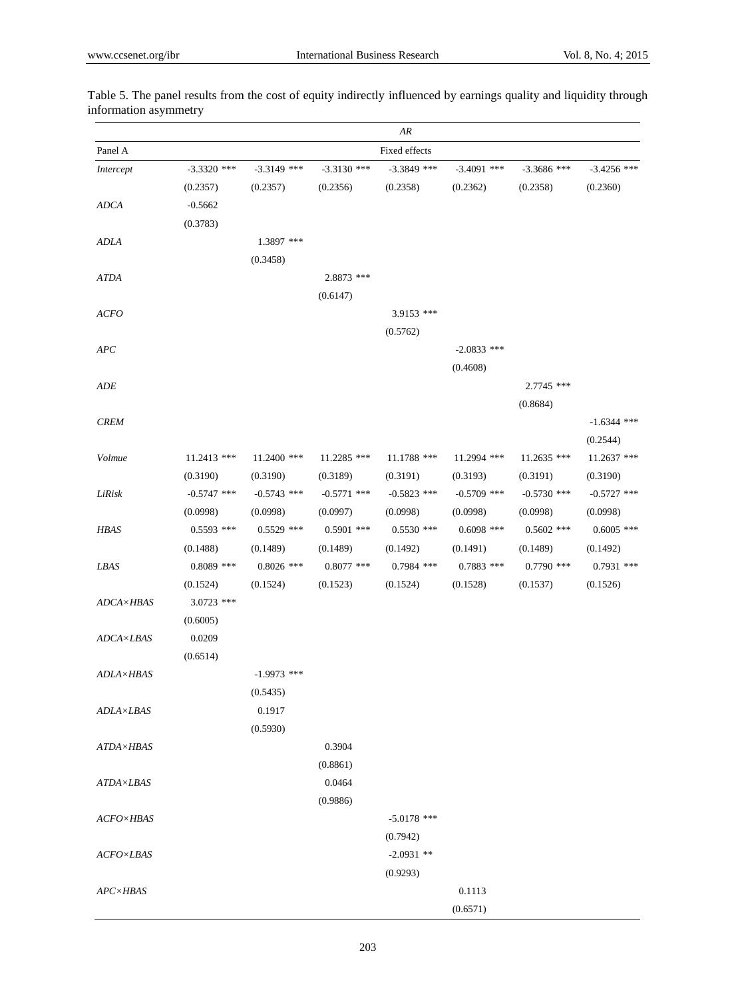|                                                                                           |               |               |               | AR            |               |               |               |
|-------------------------------------------------------------------------------------------|---------------|---------------|---------------|---------------|---------------|---------------|---------------|
| Panel A                                                                                   |               |               |               | Fixed effects |               |               |               |
| Intercept                                                                                 | $-3.3320$ *** | $-3.3149$ *** | $-3.3130$ *** | $-3.3849$ *** | $-3.4091$ *** | $-3.3686$ *** | $-3.4256$ *** |
|                                                                                           | (0.2357)      | (0.2357)      | (0.2356)      | (0.2358)      | (0.2362)      | (0.2358)      | (0.2360)      |
| <b>ADCA</b>                                                                               | $-0.5662$     |               |               |               |               |               |               |
|                                                                                           | (0.3783)      |               |               |               |               |               |               |
| ADLA                                                                                      |               | 1.3897 ***    |               |               |               |               |               |
|                                                                                           |               | (0.3458)      |               |               |               |               |               |
| <b>ATDA</b>                                                                               |               |               | 2.8873 ***    |               |               |               |               |
|                                                                                           |               |               | (0.6147)      |               |               |               |               |
| <b>ACFO</b>                                                                               |               |               |               | 3.9153 ***    |               |               |               |
|                                                                                           |               |               |               | (0.5762)      |               |               |               |
| APC                                                                                       |               |               |               |               | $-2.0833$ *** |               |               |
|                                                                                           |               |               |               |               | (0.4608)      |               |               |
| ADE                                                                                       |               |               |               |               |               | $2.7745$ ***  |               |
|                                                                                           |               |               |               |               |               | (0.8684)      |               |
| <b>CREM</b>                                                                               |               |               |               |               |               |               | $-1.6344$ *** |
|                                                                                           |               |               |               |               |               |               | (0.2544)      |
| Volmue                                                                                    | $11.2413$ *** | 11.2400 ***   | 11.2285 ***   | 11.1788 ***   | 11.2994 ***   | $11.2635$ *** | 11.2637 ***   |
|                                                                                           | (0.3190)      | (0.3190)      | (0.3189)      | (0.3191)      | (0.3193)      | (0.3191)      | (0.3190)      |
| LiRisk                                                                                    | $-0.5747$ *** | $-0.5743$ *** | $-0.5771$ *** | $-0.5823$ *** | $-0.5709$ *** | $-0.5730$ *** | $-0.5727$ *** |
|                                                                                           | (0.0998)      | (0.0998)      | (0.0997)      | (0.0998)      | (0.0998)      | (0.0998)      | (0.0998)      |
| HBAS                                                                                      | $0.5593$ ***  | $0.5529$ ***  | $0.5901$ ***  | $0.5530$ ***  | $0.6098$ ***  | $0.5602$ ***  | $0.6005$ ***  |
|                                                                                           | (0.1488)      | (0.1489)      | (0.1489)      | (0.1492)      | (0.1491)      | (0.1489)      | (0.1492)      |
| LBAS                                                                                      | $0.8089$ ***  | $0.8026$ ***  | $0.8077$ ***  | $0.7984$ ***  | $0.7883$ ***  | $0.7790$ ***  | $0.7931$ ***  |
|                                                                                           | (0.1524)      | (0.1524)      | (0.1523)      | (0.1524)      | (0.1528)      | (0.1537)      | (0.1526)      |
| $\boldsymbol{ADCA}\!\times\!\!\boldsymbol{H}\boldsymbol{B}\!\boldsymbol{A}\boldsymbol{S}$ | 3.0723 ***    |               |               |               |               |               |               |
|                                                                                           | (0.6005)      |               |               |               |               |               |               |
| <b>ADCA ×LBAS</b>                                                                         | 0.0209        |               |               |               |               |               |               |
|                                                                                           | (0.6514)      |               |               |               |               |               |               |
| <b>ADLA×HBAS</b>                                                                          |               | $-1.9973$ *** |               |               |               |               |               |
|                                                                                           |               | (0.5435)      |               |               |               |               |               |
| <b>ADLA×LBAS</b>                                                                          |               | 0.1917        |               |               |               |               |               |
|                                                                                           |               | (0.5930)      |               |               |               |               |               |
| $ATDA \times HBAS$                                                                        |               |               | 0.3904        |               |               |               |               |
|                                                                                           |               |               | (0.8861)      |               |               |               |               |
| <b>ATDA×LBAS</b>                                                                          |               |               | 0.0464        |               |               |               |               |
|                                                                                           |               |               | (0.9886)      |               |               |               |               |
| $ACFO \times HBAS$                                                                        |               |               |               | $-5.0178$ *** |               |               |               |
|                                                                                           |               |               |               | (0.7942)      |               |               |               |
| <i>ACFO×LBAS</i>                                                                          |               |               |               | $-2.0931$ **  |               |               |               |
|                                                                                           |               |               |               | (0.9293)      |               |               |               |
| $APC \times HBAS$                                                                         |               |               |               |               | 0.1113        |               |               |
|                                                                                           |               |               |               |               | (0.6571)      |               |               |
|                                                                                           |               |               |               |               |               |               |               |

Table 5. The panel results from the cost of equity indirectly influenced by earnings quality and liquidity through information asymmetry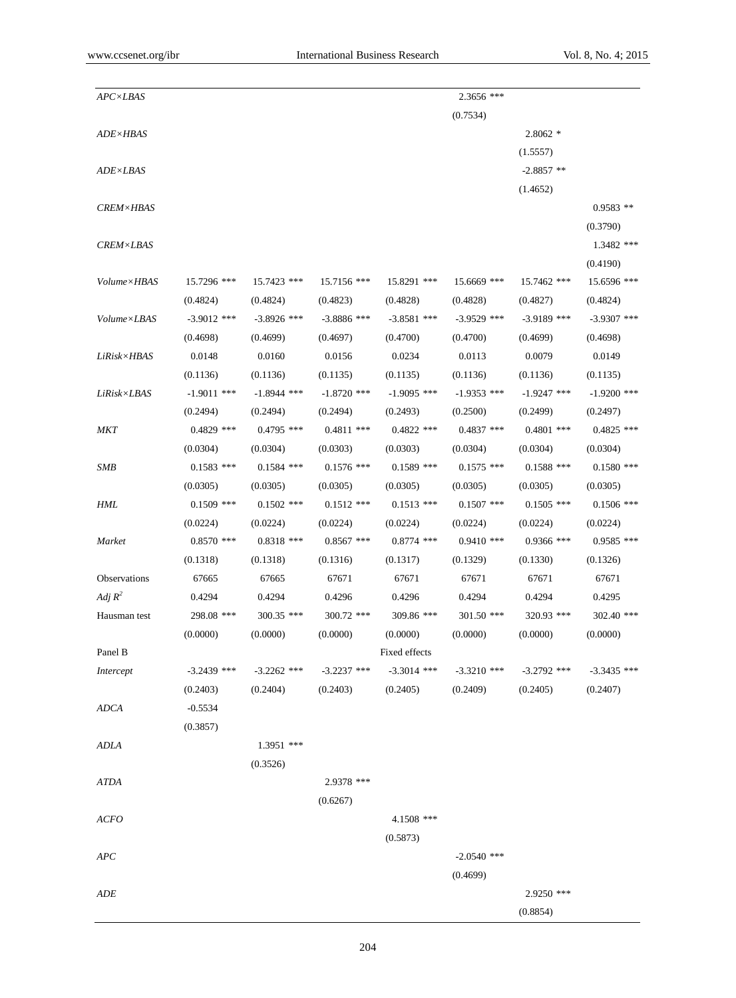| <b>APC×LBAS</b>      |               |               |               |               | $2.3656$ ***  |               |               |
|----------------------|---------------|---------------|---------------|---------------|---------------|---------------|---------------|
|                      |               |               |               |               | (0.7534)      |               |               |
| <b>ADE×HBAS</b>      |               |               |               |               |               | $2.8062*$     |               |
|                      |               |               |               |               |               | (1.5557)      |               |
| $ADE \times LBAS$    |               |               |               |               |               | $-2.8857$ **  |               |
|                      |               |               |               |               |               | (1.4652)      |               |
| <b>CREM×HBAS</b>     |               |               |               |               |               |               | $0.9583$ **   |
|                      |               |               |               |               |               |               | (0.3790)      |
| <b>CREM×LBAS</b>     |               |               |               |               |               |               | $1.3482$ ***  |
|                      |               |               |               |               |               |               | (0.4190)      |
| Volume × HBAS        | 15.7296 ***   | $15.7423$ *** | $15.7156$ *** | 15.8291 ***   | $15.6669$ *** | 15.7462 ***   | 15.6596 ***   |
|                      | (0.4824)      | (0.4824)      | (0.4823)      | (0.4828)      | (0.4828)      | (0.4827)      | (0.4824)      |
| Volume × LBAS        | $-3.9012$ *** | $-3.8926$ *** | $-3.8886$ *** | $-3.8581$ *** | $-3.9529$ *** | $-3.9189$ *** | $-3.9307$ *** |
|                      | (0.4698)      | (0.4699)      | (0.4697)      | (0.4700)      | (0.4700)      | (0.4699)      | (0.4698)      |
| $LiRisk \times HBAS$ | 0.0148        | 0.0160        | 0.0156        | 0.0234        | 0.0113        | 0.0079        | 0.0149        |
|                      | (0.1136)      | (0.1136)      | (0.1135)      | (0.1135)      | (0.1136)      | (0.1136)      | (0.1135)      |
| <b>LiRisk×LBAS</b>   | $-1.9011$ *** | $-1.8944$ *** | $-1.8720$ *** | $-1.9095$ *** | $-1.9353$ *** | $-1.9247$ *** | $-1.9200$ *** |
|                      | (0.2494)      | (0.2494)      | (0.2494)      | (0.2493)      | (0.2500)      | (0.2499)      | (0.2497)      |
| MKT                  | $0.4829$ ***  | $0.4795$ ***  | $0.4811$ ***  | $0.4822$ ***  | $0.4837$ ***  | $0.4801$ ***  | $0.4825$ ***  |
|                      | (0.0304)      | (0.0304)      | (0.0303)      | (0.0303)      | (0.0304)      | (0.0304)      | (0.0304)      |
| SMB                  | $0.1583$ ***  | $0.1584$ ***  | $0.1576$ ***  | $0.1589$ ***  | $0.1575$ ***  | $0.1588$ ***  | $0.1580$ ***  |
|                      | (0.0305)      | (0.0305)      | (0.0305)      | (0.0305)      | (0.0305)      | (0.0305)      | (0.0305)      |
| HML                  | $0.1509$ ***  | $0.1502$ ***  | $0.1512$ ***  | $0.1513$ ***  | $0.1507$ ***  | $0.1505$ ***  | $0.1506$ ***  |
|                      | (0.0224)      | (0.0224)      | (0.0224)      | (0.0224)      | (0.0224)      | (0.0224)      | (0.0224)      |
| Market               | $0.8570$ ***  | $0.8318$ ***  | $0.8567$ ***  | $0.8774$ ***  | $0.9410$ ***  | $0.9366$ ***  | $0.9585$ ***  |
|                      | (0.1318)      | (0.1318)      | (0.1316)      | (0.1317)      | (0.1329)      | (0.1330)      | (0.1326)      |
| Observations         | 67665         | 67665         | 67671         | 67671         | 67671         | 67671         | 67671         |
| Adj $R^2$            | 0.4294        | 0.4294        | 0.4296        | 0.4296        | 0.4294        | 0.4294        | 0.4295        |
| Hausman test         | 298.08 ***    | $300.35$ ***  | $300.72$ ***  | 309.86 ***    | $301.50$ ***  | $320.93$ ***  | $302.40$ ***  |
|                      | (0.0000)      | (0.0000)      | (0.0000)      | (0.0000)      | (0.0000)      | (0.0000)      | (0.0000)      |
| Panel B              |               |               |               | Fixed effects |               |               |               |
| Intercept            | $-3.2439$ *** | $-3.2262$ *** | $-3.2237$ *** | $-3.3014$ *** | $-3.3210$ *** | $-3.2792$ *** | $-3.3435$ *** |
|                      | (0.2403)      | (0.2404)      | (0.2403)      | (0.2405)      | (0.2409)      | (0.2405)      | (0.2407)      |
| <b>ADCA</b>          | $-0.5534$     |               |               |               |               |               |               |
|                      | (0.3857)      |               |               |               |               |               |               |
| ADLA                 |               | $1.3951$ ***  |               |               |               |               |               |
|                      |               | (0.3526)      |               |               |               |               |               |
| <b>ATDA</b>          |               |               | 2.9378 ***    |               |               |               |               |
|                      |               |               | (0.6267)      |               |               |               |               |
| <b>ACFO</b>          |               |               |               | 4.1508 ***    |               |               |               |
|                      |               |               |               | (0.5873)      |               |               |               |
| APC                  |               |               |               |               | $-2.0540$ *** |               |               |
|                      |               |               |               |               | (0.4699)      |               |               |
| ADE                  |               |               |               |               |               | 2.9250 ***    |               |
|                      |               |               |               |               |               | (0.8854)      |               |

204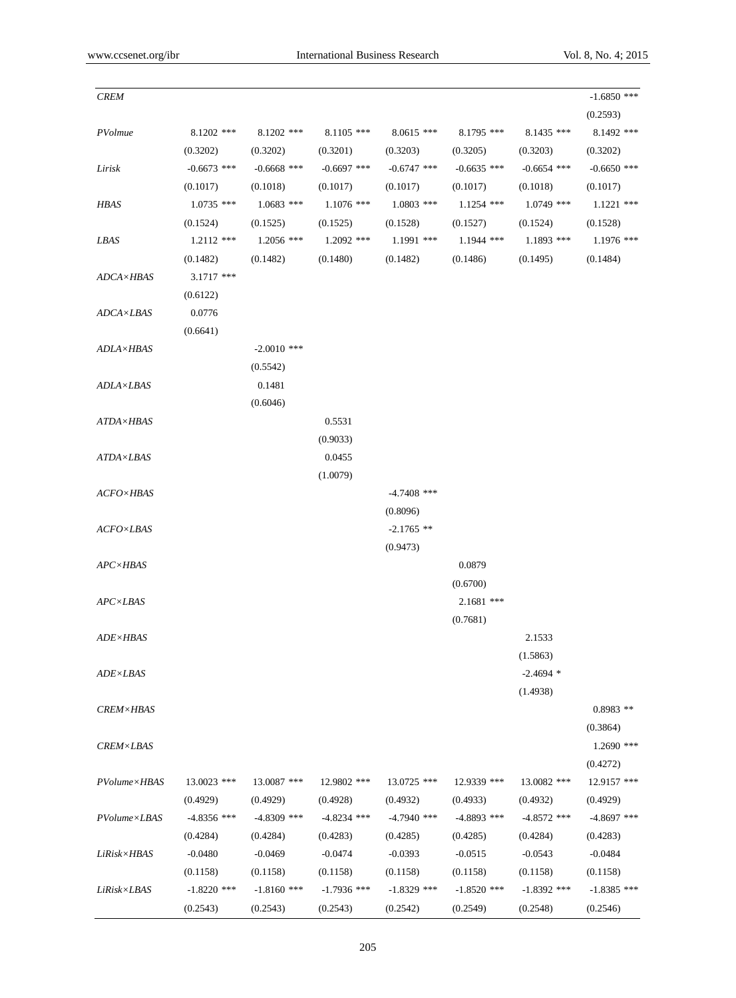| <b>CREM</b>                                                                               |               |               |               |               |               |               | $-1.6850$ *** |
|-------------------------------------------------------------------------------------------|---------------|---------------|---------------|---------------|---------------|---------------|---------------|
|                                                                                           |               |               |               |               |               |               | (0.2593)      |
| PVolmue                                                                                   | $8.1202$ ***  | $8.1202$ ***  | $8.1105$ ***  | $8.0615$ ***  | $8.1795$ ***  | $8.1435$ ***  | $8.1492$ ***  |
|                                                                                           | (0.3202)      | (0.3202)      | (0.3201)      | (0.3203)      | (0.3205)      | (0.3203)      | (0.3202)      |
| Lirisk                                                                                    | $-0.6673$ *** | $-0.6668$ *** | $-0.6697$ *** | $-0.6747$ *** | $-0.6635$ *** | $-0.6654$ *** | $-0.6650$ *** |
|                                                                                           | (0.1017)      | (0.1018)      | (0.1017)      | (0.1017)      | (0.1017)      | (0.1018)      | (0.1017)      |
| HBAS                                                                                      | $1.0735$ ***  | $1.0683$ ***  | $1.1076$ ***  | $1.0803$ ***  | $1.1254$ ***  | $1.0749$ ***  | $1.1221$ ***  |
|                                                                                           | (0.1524)      | (0.1525)      | (0.1525)      | (0.1528)      | (0.1527)      | (0.1524)      | (0.1528)      |
| LBAS                                                                                      | $1.2112$ ***  | $1.2056$ ***  | $1.2092$ ***  | 1.1991 ***    | $1.1944$ ***  | $1.1893$ ***  | $1.1976$ ***  |
|                                                                                           | (0.1482)      | (0.1482)      | (0.1480)      | (0.1482)      | (0.1486)      | (0.1495)      | (0.1484)      |
| $\boldsymbol{ADCA}\!\times\!\!\boldsymbol{H}\boldsymbol{B}\!\boldsymbol{A}\boldsymbol{S}$ | $3.1717$ ***  |               |               |               |               |               |               |
|                                                                                           | (0.6122)      |               |               |               |               |               |               |
| $ADCA \times LBAS$                                                                        | 0.0776        |               |               |               |               |               |               |
|                                                                                           | (0.6641)      |               |               |               |               |               |               |
| $ADLA \times HBAS$                                                                        |               | $-2.0010$ *** |               |               |               |               |               |
|                                                                                           |               | (0.5542)      |               |               |               |               |               |
| <b>ADLA ×LBAS</b>                                                                         |               | 0.1481        |               |               |               |               |               |
|                                                                                           |               | (0.6046)      |               |               |               |               |               |
| <b>ATDA ×HBAS</b>                                                                         |               |               | 0.5531        |               |               |               |               |
|                                                                                           |               |               | (0.9033)      |               |               |               |               |
| $ATDA \times LBAS$                                                                        |               |               | 0.0455        |               |               |               |               |
|                                                                                           |               |               | (1.0079)      |               |               |               |               |
| $ACFO \times HBAS$                                                                        |               |               |               | $-4.7408$ *** |               |               |               |
|                                                                                           |               |               |               | (0.8096)      |               |               |               |
| $ACFO \times LBAS$                                                                        |               |               |               | $-2.1765$ **  |               |               |               |
|                                                                                           |               |               |               | (0.9473)      |               |               |               |
| $APC \times HBAS$                                                                         |               |               |               |               | 0.0879        |               |               |
|                                                                                           |               |               |               |               | (0.6700)      |               |               |
| $APC \times LBAS$                                                                         |               |               |               |               | $2.1681$ ***  |               |               |
|                                                                                           |               |               |               |               | (0.7681)      |               |               |
| ADE×HBAS                                                                                  |               |               |               |               |               | 2.1533        |               |
|                                                                                           |               |               |               |               |               | (1.5863)      |               |
| $ADE \times LBAS$                                                                         |               |               |               |               |               | $-2.4694*$    |               |
|                                                                                           |               |               |               |               |               | (1.4938)      |               |
| <b>CREM×HBAS</b>                                                                          |               |               |               |               |               |               | $0.8983$ **   |
|                                                                                           |               |               |               |               |               |               | (0.3864)      |
| <b>CREM×LBAS</b>                                                                          |               |               |               |               |               |               | $1.2690$ ***  |
|                                                                                           |               |               |               |               |               |               | (0.4272)      |
| PVolume × HBAS                                                                            | $13.0023$ *** | 13.0087 ***   | 12.9802 ***   | 13.0725 ***   | 12.9339 ***   | 13.0082 ***   | $12.9157$ *** |
|                                                                                           | (0.4929)      | (0.4929)      | (0.4928)      | (0.4932)      | (0.4933)      | (0.4932)      | (0.4929)      |
| $PVolume \times LBAS$                                                                     | $-4.8356$ *** | $-4.8309$ *** | $-4.8234$ *** | $-4.7940$ *** | $-4.8893$ *** | $-4.8572$ *** | $-4.8697$ *** |
|                                                                                           | (0.4284)      | (0.4284)      | (0.4283)      | (0.4285)      | (0.4285)      | (0.4284)      | (0.4283)      |
| <b>LiRisk×HBAS</b>                                                                        | $-0.0480$     | $-0.0469$     | $-0.0474$     | $-0.0393$     | $-0.0515$     | $-0.0543$     | $-0.0484$     |
|                                                                                           | (0.1158)      | (0.1158)      | (0.1158)      | (0.1158)      | (0.1158)      | (0.1158)      | (0.1158)      |
| <b>LiRisk×LBAS</b>                                                                        | $-1.8220$ *** | $-1.8160$ *** | $-1.7936$ *** | $-1.8329$ *** | $-1.8520$ *** | $-1.8392$ *** | $-1.8385$ *** |
|                                                                                           | (0.2543)      | (0.2543)      | (0.2543)      | (0.2542)      | (0.2549)      | (0.2548)      | (0.2546)      |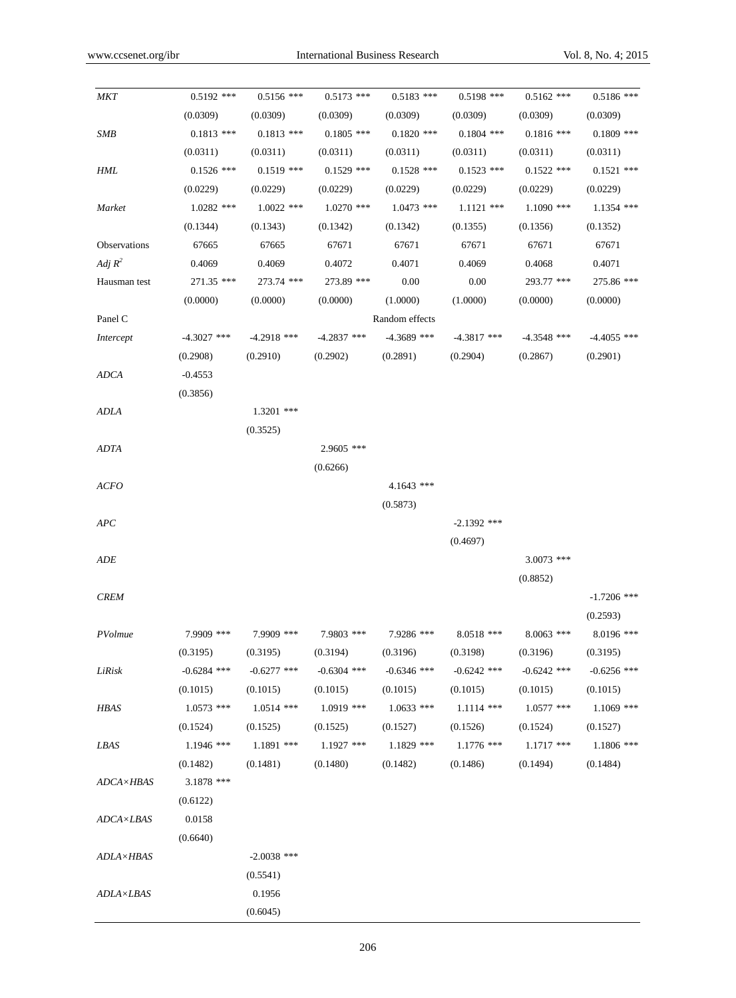| MKT               | $0.5192$ ***  | $0.5156$ ***                           | $0.5173$ ***  | $0.5183$ ***   | $0.5198$ ***  | $0.5162$ ***  | $0.5186$ ***  |
|-------------------|---------------|----------------------------------------|---------------|----------------|---------------|---------------|---------------|
|                   | (0.0309)      | (0.0309)                               | (0.0309)      | (0.0309)       | (0.0309)      | (0.0309)      | (0.0309)      |
| SMB               | $0.1813$ ***  | $0.1813$ ***                           | $0.1805$ ***  | $0.1820$ ***   | $0.1804$ ***  | $0.1816$ ***  | $0.1809$ ***  |
|                   | (0.0311)      | (0.0311)                               | (0.0311)      | (0.0311)       | (0.0311)      | (0.0311)      | (0.0311)      |
| HML               | $0.1526$ ***  | $0.1519$ ***                           | $0.1529$ ***  | $0.1528$ ***   | $0.1523$ ***  | $0.1522$ ***  | $0.1521$ ***  |
|                   | (0.0229)      | (0.0229)                               | (0.0229)      | (0.0229)       | (0.0229)      | (0.0229)      | (0.0229)      |
| <b>Market</b>     | $1.0282$ ***  | $1.0022$ ***                           | $1.0270$ ***  | $1.0473$ ***   | $1.1121$ ***  | $1.1090$ ***  | $1.1354$ ***  |
|                   | (0.1344)      | (0.1343)                               | (0.1342)      | (0.1342)       | (0.1355)      | (0.1356)      | (0.1352)      |
| Observations      | 67665         | 67665                                  | 67671         | 67671          | 67671         | 67671         | 67671         |
| Adj $R^2$         | 0.4069        | 0.4069                                 | 0.4072        | 0.4071         | 0.4069        | 0.4068        | 0.4071        |
| Hausman test      | $271.35$ ***  | 273.74 ***                             | 273.89 ***    | 0.00           | 0.00          | 293.77 ***    | 275.86 ***    |
|                   | (0.0000)      | (0.0000)                               | (0.0000)      | (1.0000)       | (1.0000)      | (0.0000)      | (0.0000)      |
| Panel C           |               |                                        |               | Random effects |               |               |               |
| Intercept         | $-4.3027$ *** | $-4.2918$ ***                          | $-4.2837$ *** | $-4.3689$ ***  | $-4.3817$ *** | $-4.3548$ *** | $-4.4055$ *** |
|                   | (0.2908)      | (0.2910)                               | (0.2902)      | (0.2891)       | (0.2904)      | (0.2867)      | (0.2901)      |
| <b>ADCA</b>       | $-0.4553$     |                                        |               |                |               |               |               |
|                   | (0.3856)      |                                        |               |                |               |               |               |
| ADLA              |               | $1.3201$ ***                           |               |                |               |               |               |
|                   |               | (0.3525)                               |               |                |               |               |               |
| ADTA              |               |                                        | 2.9605 ***    |                |               |               |               |
|                   |               |                                        | (0.6266)      |                |               |               |               |
| ACFO              |               |                                        |               | 4.1643 ***     |               |               |               |
|                   |               |                                        |               | (0.5873)       |               |               |               |
| APC               |               |                                        |               |                | $-2.1392$ *** |               |               |
|                   |               |                                        |               |                | (0.4697)      |               |               |
| ADE               |               |                                        |               |                |               | $3.0073$ ***  |               |
|                   |               |                                        |               |                |               | (0.8852)      |               |
| <b>CREM</b>       |               |                                        |               |                |               |               | $-1.7206$ *** |
|                   |               |                                        |               |                |               |               | (0.2593)      |
| PVolmue           |               | $7.9909$ *** $7.9909$ *** $7.9803$ *** |               | 7.9286 ***     | $8.0518$ ***  | $8.0063$ ***  | 8.0196 ***    |
|                   | (0.3195)      | (0.3195)                               | (0.3194)      | (0.3196)       | (0.3198)      | (0.3196)      | (0.3195)      |
| LiRisk            | $-0.6284$ *** | $-0.6277$ ***                          | $-0.6304$ *** | $-0.6346$ ***  | $-0.6242$ *** | $-0.6242$ *** | $-0.6256$ *** |
|                   | (0.1015)      | (0.1015)                               | (0.1015)      | (0.1015)       | (0.1015)      | (0.1015)      | (0.1015)      |
| HBAS              | $1.0573$ ***  | $1.0514$ ***                           | $1.0919$ ***  | $1.0633$ ***   | $1.1114$ ***  | $1.0577$ ***  | $1.1069$ ***  |
|                   | (0.1524)      | (0.1525)                               | (0.1525)      | (0.1527)       | (0.1526)      | (0.1524)      | (0.1527)      |
| LBAS              | $1.1946$ ***  | $1.1891$ ***                           | $1.1927$ ***  | $1.1829$ ***   | $1.1776$ ***  | $1.1717$ ***  | $1.1806$ ***  |
|                   | (0.1482)      | (0.1481)                               | (0.1480)      | (0.1482)       | (0.1486)      | (0.1494)      | (0.1484)      |
| <b>ADCA ×HBAS</b> | 3.1878 ***    |                                        |               |                |               |               |               |
|                   | (0.6122)      |                                        |               |                |               |               |               |
| <b>ADCA ×LBAS</b> | 0.0158        |                                        |               |                |               |               |               |
|                   | (0.6640)      |                                        |               |                |               |               |               |
| <b>ADLA×HBAS</b>  |               | $-2.0038$ ***                          |               |                |               |               |               |
|                   |               | (0.5541)                               |               |                |               |               |               |
| <b>ADLA×LBAS</b>  |               | 0.1956                                 |               |                |               |               |               |
|                   |               | (0.6045)                               |               |                |               |               |               |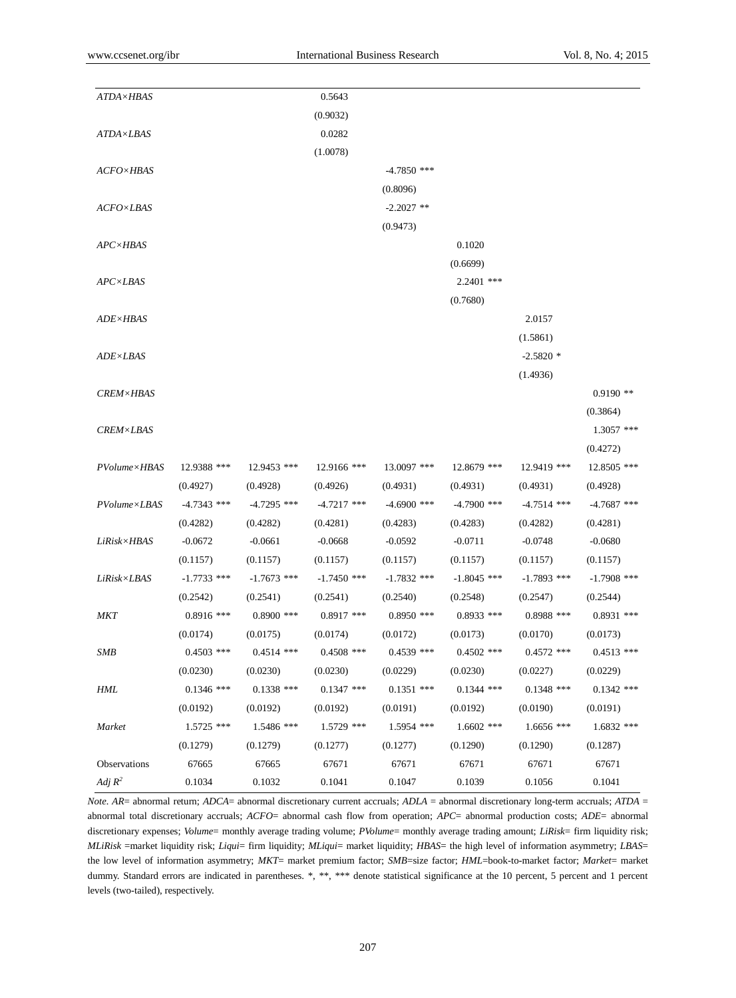| <i>ATDA×HBAS</i>      |               |               | 0.5643        |               |               |               |               |
|-----------------------|---------------|---------------|---------------|---------------|---------------|---------------|---------------|
|                       |               |               | (0.9032)      |               |               |               |               |
| <b>ATDA×LBAS</b>      |               |               | 0.0282        |               |               |               |               |
|                       |               |               | (1.0078)      |               |               |               |               |
| $ACFO \times HBAS$    |               |               |               | $-4.7850$ *** |               |               |               |
|                       |               |               |               | (0.8096)      |               |               |               |
| $ACFO \times LBAS$    |               |               |               | $-2.2027$ **  |               |               |               |
|                       |               |               |               | (0.9473)      |               |               |               |
| $APC \times HBAS$     |               |               |               |               | 0.1020        |               |               |
|                       |               |               |               |               | (0.6699)      |               |               |
| $APC \times LBAS$     |               |               |               |               | 2.2401 ***    |               |               |
|                       |               |               |               |               | (0.7680)      |               |               |
| <b>ADE</b> ×HBAS      |               |               |               |               |               | 2.0157        |               |
|                       |               |               |               |               |               | (1.5861)      |               |
| <b>ADE×LBAS</b>       |               |               |               |               |               | $-2.5820$ *   |               |
|                       |               |               |               |               |               | (1.4936)      |               |
| <b>CREM×HBAS</b>      |               |               |               |               |               |               | $0.9190**$    |
|                       |               |               |               |               |               |               | (0.3864)      |
| <b>CREM×LBAS</b>      |               |               |               |               |               |               | $1.3057$ ***  |
|                       |               |               |               |               |               |               | (0.4272)      |
| PVolume × HBAS        | 12.9388 ***   | $12.9453$ *** | $12.9166$ *** | 13.0097 ***   | 12.8679 ***   | 12.9419 ***   | 12.8505 ***   |
|                       | (0.4927)      | (0.4928)      | (0.4926)      | (0.4931)      | (0.4931)      | (0.4931)      | (0.4928)      |
| $PVolume \times LBAS$ | $-4.7343$ *** | $-4.7295$ *** | $-4.7217$ *** | $-4.6900$ *** | $-4.7900$ *** | $-4.7514$ *** | $-4.7687$ *** |
|                       | (0.4282)      | (0.4282)      | (0.4281)      | (0.4283)      | (0.4283)      | (0.4282)      | (0.4281)      |
| <b>LiRisk×HBAS</b>    | $-0.0672$     | $-0.0661$     | $-0.0668$     | $-0.0592$     | $-0.0711$     | $-0.0748$     | $-0.0680$     |
|                       | (0.1157)      | (0.1157)      | (0.1157)      | (0.1157)      | (0.1157)      | (0.1157)      | (0.1157)      |
| <i>LiRisk×LBAS</i>    | $-1.7733$ *** | $-1.7673$ *** | $-1.7450$ *** | $-1.7832$ *** | $-1.8045$ *** | $-1.7893$ *** | $-1.7908$ *** |
|                       | (0.2542)      | (0.2541)      | (0.2541)      | (0.2540)      | (0.2548)      | (0.2547)      | (0.2544)      |
| MKT                   | $0.8916$ ***  | $0.8900$ ***  | $0.8917$ ***  | $0.8950$ ***  | $0.8933$ ***  | $0.8988$ ***  | $0.8931$ ***  |
|                       | (0.0174)      | (0.0175)      | (0.0174)      | (0.0172)      | (0.0173)      | (0.0170)      | (0.0173)      |
| SMB                   | $0.4503$ ***  | $0.4514$ ***  | $0.4508$ ***  | $0.4539$ ***  | $0.4502$ ***  | $0.4572$ ***  | $0.4513$ ***  |
|                       | (0.0230)      | (0.0230)      | (0.0230)      | (0.0229)      | (0.0230)      | (0.0227)      | (0.0229)      |
| HML                   | $0.1346$ ***  | $0.1338$ ***  | $0.1347$ ***  | $0.1351$ ***  | $0.1344$ ***  | $0.1348$ ***  | $0.1342$ ***  |
|                       | (0.0192)      | (0.0192)      | (0.0192)      | (0.0191)      | (0.0192)      | (0.0190)      | (0.0191)      |
| Market                | 1.5725 ***    | 1.5486 ***    | 1.5729 ***    | $1.5954$ ***  | $1.6602$ ***  | $1.6656$ ***  | 1.6832 ***    |
|                       | (0.1279)      | (0.1279)      | (0.1277)      | (0.1277)      | (0.1290)      | (0.1290)      | (0.1287)      |
| Observations          | 67665         | 67665         | 67671         | 67671         | 67671         | 67671         | 67671         |
| Adj $R^2$             | 0.1034        | 0.1032        | 0.1041        | 0.1047        | 0.1039        | 0.1056        | 0.1041        |

*Note. AR*= abnormal return; *ADCA*= abnormal discretionary current accruals; *ADLA* = abnormal discretionary long-term accruals; *ATDA* = abnormal total discretionary accruals; *ACFO*= abnormal cash flow from operation; *APC*= abnormal production costs; *ADE*= abnormal discretionary expenses; *Volume*= monthly average trading volume; *PVolume*= monthly average trading amount; *LiRisk*= firm liquidity risk; *MLiRisk* =market liquidity risk; *Liqui*= firm liquidity; *MLiqui*= market liquidity; *HBAS*= the high level of information asymmetry; *LBAS*= the low level of information asymmetry; *MKT*= market premium factor; *SMB*=size factor; *HML*=book-to-market factor; *Market*= market dummy. Standard errors are indicated in parentheses. \*, \*\*, \*\*\* denote statistical significance at the 10 percent, 5 percent and 1 percent levels (two-tailed), respectively.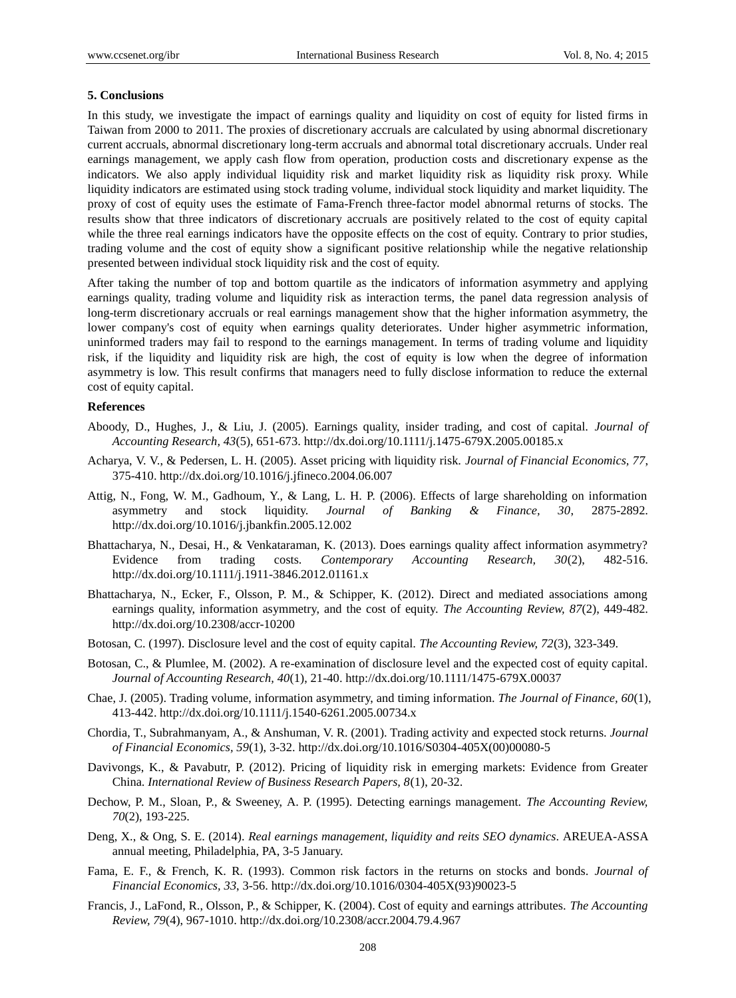#### **5. Conclusions**

In this study, we investigate the impact of earnings quality and liquidity on cost of equity for listed firms in Taiwan from 2000 to 2011. The proxies of discretionary accruals are calculated by using abnormal discretionary current accruals, abnormal discretionary long-term accruals and abnormal total discretionary accruals. Under real earnings management, we apply cash flow from operation, production costs and discretionary expense as the indicators. We also apply individual liquidity risk and market liquidity risk as liquidity risk proxy. While liquidity indicators are estimated using stock trading volume, individual stock liquidity and market liquidity. The proxy of cost of equity uses the estimate of Fama-French three-factor model abnormal returns of stocks. The results show that three indicators of discretionary accruals are positively related to the cost of equity capital while the three real earnings indicators have the opposite effects on the cost of equity. Contrary to prior studies, trading volume and the cost of equity show a significant positive relationship while the negative relationship presented between individual stock liquidity risk and the cost of equity.

After taking the number of top and bottom quartile as the indicators of information asymmetry and applying earnings quality, trading volume and liquidity risk as interaction terms, the panel data regression analysis of long-term discretionary accruals or real earnings management show that the higher information asymmetry, the lower company's cost of equity when earnings quality deteriorates. Under higher asymmetric information, uninformed traders may fail to respond to the earnings management. In terms of trading volume and liquidity risk, if the liquidity and liquidity risk are high, the cost of equity is low when the degree of information asymmetry is low. This result confirms that managers need to fully disclose information to reduce the external cost of equity capital.

# **References**

- Aboody, D., Hughes, J., & Liu, J. (2005). Earnings quality, insider trading, and cost of capital. *Journal of Accounting Research, 43*(5), 651-673.<http://dx.doi.org/10.1111/j.1475-679X.2005.00185.x>
- Acharya, V. V., & Pedersen, L. H. (2005). Asset pricing with liquidity risk. *Journal of Financial Economics, 77*, 375-410.<http://dx.doi.org/10.1016/j.jfineco.2004.06.007>
- Attig, N., Fong, W. M., Gadhoum, Y., & Lang, L. H. P. (2006). Effects of large shareholding on information asymmetry and stock liquidity. *Journal of Banking & Finance, 30*, 2875-2892. <http://dx.doi.org/10.1016/j.jbankfin.2005.12.002>
- Bhattacharya, N., Desai, H., & Venkataraman, K. (2013). Does earnings quality affect information asymmetry? Evidence from trading costs. *Contemporary Accounting Research, 30*(2), 482-516. <http://dx.doi.org/10.1111/j.1911-3846.2012.01161.x>
- Bhattacharya, N., Ecker, F., Olsson, P. M., & Schipper, K. (2012). Direct and mediated associations among earnings quality, information asymmetry, and the cost of equity. *The Accounting Review, 87*(2), 449-482. <http://dx.doi.org/10.2308/accr-10200>
- Botosan, C. (1997). Disclosure level and the cost of equity capital. *The Accounting Review, 72*(3), 323-349.
- Botosan, C., & Plumlee, M. (2002). A re-examination of disclosure level and the expected cost of equity capital. *Journal of Accounting Research, 40*(1), 21-40[. http://dx.doi.org/10.1111/1475-679X.00037](http://dx.doi.org/10.1111/1475-679X.00037)
- Chae, J. (2005). Trading volume, information asymmetry, and timing information. *The Journal of Finance, 60*(1), 413-442.<http://dx.doi.org/10.1111/j.1540-6261.2005.00734.x>
- Chordia, T., Subrahmanyam, A., & Anshuman, V. R. (2001). Trading activity and expected stock returns. *Journal of Financial Economics, 59*(1), 3-32[. http://dx.doi.org/10.1016/S0304-405X\(00\)00080-5](http://dx.doi.org/10.1016/S0304-405X(00)00080-5)
- Davivongs, K., & Pavabutr, P. (2012). Pricing of liquidity risk in emerging markets: Evidence from Greater China. *International Review of Business Research Papers, 8*(1), 20-32.
- Dechow, P. M., Sloan, P., & Sweeney, A. P. (1995). Detecting earnings management. *The Accounting Review, 70*(2), 193-225.
- Deng, X., & Ong, S. E. (2014). *Real earnings management, liquidity and reits SEO dynamics*. AREUEA-ASSA annual meeting, Philadelphia, PA, 3-5 January.
- Fama, E. F., & French, K. R. (1993). Common risk factors in the returns on stocks and bonds. *Journal of Financial Economics, 33*, 3-56. http://dx.doi.org/10.1016/0304-405X(93)90023-5
- Francis, J., LaFond, R., Olsson, P., & Schipper, K. (2004). Cost of equity and earnings attributes. *The Accounting Review, 79*(4), 967-1010.<http://dx.doi.org/10.2308/accr.2004.79.4.967>